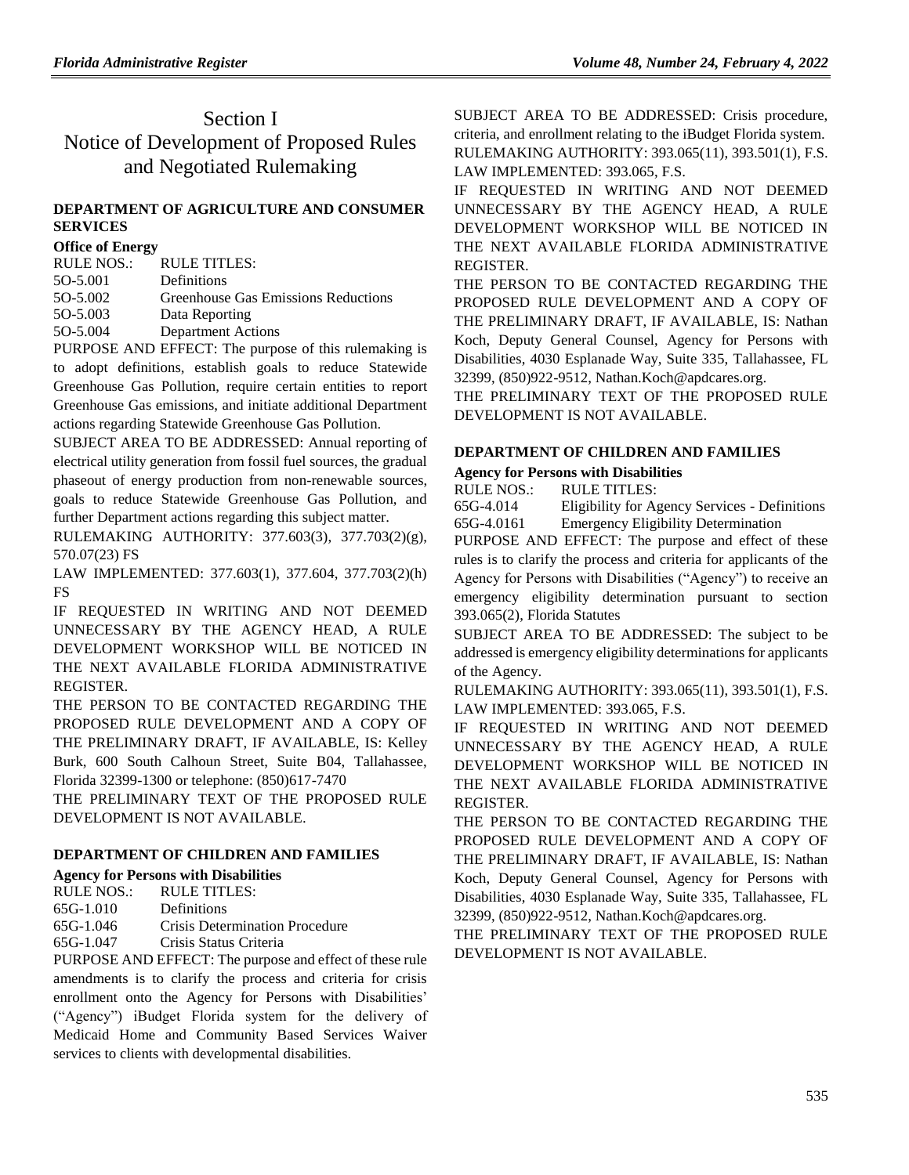# Section I Notice of Development of Proposed Rules and Negotiated Rulemaking

## **[DEPARTMENT OF AGRICULTURE](https://www.flrules.org/gateway/department.asp?id=5) AND CONSUMER [SERVICES](https://www.flrules.org/gateway/department.asp?id=5)**

#### **[Office of Energy](https://www.flrules.org/gateway/organization.asp?id=1049)**

| RULE NOS.: | <b>RULE TITLES:</b>                 |
|------------|-------------------------------------|
| 50-5.001   | Definitions                         |
| 50-5.002   | Greenhouse Gas Emissions Reductions |
| 50-5.003   | Data Reporting                      |
| 50-5.004   | Department Actions                  |
|            |                                     |

PURPOSE AND EFFECT: The purpose of this rulemaking is to adopt definitions, establish goals to reduce Statewide Greenhouse Gas Pollution, require certain entities to report Greenhouse Gas emissions, and initiate additional Department actions regarding Statewide Greenhouse Gas Pollution.

SUBJECT AREA TO BE ADDRESSED: Annual reporting of electrical utility generation from fossil fuel sources, the gradual phaseout of energy production from non-renewable sources, goals to reduce Statewide Greenhouse Gas Pollution, and further Department actions regarding this subject matter.

RULEMAKING AUTHORITY: [377.603\(3\), 377.703\(2\)\(g\),](https://www.flrules.org/gateway/cfr.asp?id=377.603(3),%20377.703(2)(g),%20570.07(23)%20FS)  [570.07\(23\) FS](https://www.flrules.org/gateway/cfr.asp?id=377.603(3),%20377.703(2)(g),%20570.07(23)%20FS)

LAW IMPLEMENTED: [377.603\(1\), 377.604, 377.703\(2\)\(h\)](https://www.flrules.org/gateway/cfr.asp?id=377.603(1),%20377.604,%20377.703(2)(h)%20FS)  [FS](https://www.flrules.org/gateway/cfr.asp?id=377.603(1),%20377.604,%20377.703(2)(h)%20FS)

IF REQUESTED IN WRITING AND NOT DEEMED UNNECESSARY BY THE AGENCY HEAD, A RULE DEVELOPMENT WORKSHOP WILL BE NOTICED IN THE NEXT AVAILABLE FLORIDA ADMINISTRATIVE REGISTER.

THE PERSON TO BE CONTACTED REGARDING THE PROPOSED RULE DEVELOPMENT AND A COPY OF THE PRELIMINARY DRAFT, IF AVAILABLE, IS: Kelley Burk, 600 South Calhoun Street, Suite B04, Tallahassee, Florida 32399-1300 or telephone: (850)617-7470

THE PRELIMINARY TEXT OF THE PROPOSED RULE DEVELOPMENT IS NOT AVAILABLE.

## **[DEPARTMENT OF CHILDREN AND FAMILIES](https://www.flrules.org/gateway/department.asp?id=65)**

## **[Agency for Persons with Disabilities](https://www.flrules.org/gateway/organization.asp?id=560)**

| RULE NOS.:  | RULE TITLES:                          |
|-------------|---------------------------------------|
| $65G-1.010$ | Definitions                           |
| 65G-1.046   | <b>Crisis Determination Procedure</b> |
| $65G-1.047$ | Crisis Status Criteria                |
|             |                                       |

PURPOSE AND EFFECT: The purpose and effect of these rule amendments is to clarify the process and criteria for crisis enrollment onto the Agency for Persons with Disabilities' ("Agency") iBudget Florida system for the delivery of Medicaid Home and Community Based Services Waiver services to clients with developmental disabilities.

SUBJECT AREA TO BE ADDRESSED: Crisis procedure, criteria, and enrollment relating to the iBudget Florida system. RULEMAKING AUTHORITY: [393.065\(11\),](https://www.flrules.org/gateway/statute.asp?id=393.065(11)) [393.501\(1\),](https://www.flrules.org/gateway/statute.asp?id=%20393.501(1)) F.S. LAW IMPLEMENTED: [393.065,](https://www.flrules.org/gateway/statute.asp?id=393.065) F.S.

IF REQUESTED IN WRITING AND NOT DEEMED UNNECESSARY BY THE AGENCY HEAD, A RULE DEVELOPMENT WORKSHOP WILL BE NOTICED IN THE NEXT AVAILABLE FLORIDA ADMINISTRATIVE REGISTER.

THE PERSON TO BE CONTACTED REGARDING THE PROPOSED RULE DEVELOPMENT AND A COPY OF THE PRELIMINARY DRAFT, IF AVAILABLE, IS: Nathan Koch, Deputy General Counsel, Agency for Persons with Disabilities, 4030 Esplanade Way, Suite 335, Tallahassee, FL 32399, (850)922-9512, Nathan.Koch@apdcares.org.

THE PRELIMINARY TEXT OF THE PROPOSED RULE DEVELOPMENT IS NOT AVAILABLE.

## **[DEPARTMENT OF CHILDREN AND FAMILIES](https://www.flrules.org/gateway/department.asp?id=65)**

## **[Agency for Persons with Disabilities](https://www.flrules.org/gateway/organization.asp?id=560)**

RULE NOS.: RULE TITLES:

[65G-4.014](https://www.flrules.org/gateway/ruleNo.asp?id=65G-4.014) Eligibility for Agency Services - Definitions [65G-4.0161](https://www.flrules.org/gateway/ruleNo.asp?id=65G-4.0161) Emergency Eligibility Determination

PURPOSE AND EFFECT: The purpose and effect of these rules is to clarify the process and criteria for applicants of the Agency for Persons with Disabilities ("Agency") to receive an emergency eligibility determination pursuant to section 393.065(2), Florida Statutes

SUBJECT AREA TO BE ADDRESSED: The subject to be addressed is emergency eligibility determinations for applicants of the Agency.

RULEMAKING AUTHORITY: [393.065\(11\),](https://www.flrules.org/gateway/statute.asp?id=393.065(11)) [393.501\(1\),](https://www.flrules.org/gateway/statute.asp?id=%20393.501(1)) F.S. LAW IMPLEMENTED: [393.065,](https://www.flrules.org/gateway/statute.asp?id=393.065) F.S.

IF REQUESTED IN WRITING AND NOT DEEMED UNNECESSARY BY THE AGENCY HEAD, A RULE DEVELOPMENT WORKSHOP WILL BE NOTICED IN THE NEXT AVAILABLE FLORIDA ADMINISTRATIVE REGISTER.

THE PERSON TO BE CONTACTED REGARDING THE PROPOSED RULE DEVELOPMENT AND A COPY OF THE PRELIMINARY DRAFT, IF AVAILABLE, IS: Nathan Koch, Deputy General Counsel, Agency for Persons with Disabilities, 4030 Esplanade Way, Suite 335, Tallahassee, FL 32399, (850)922-9512, Nathan.Koch@apdcares.org.

THE PRELIMINARY TEXT OF THE PROPOSED RULE DEVELOPMENT IS NOT AVAILABLE.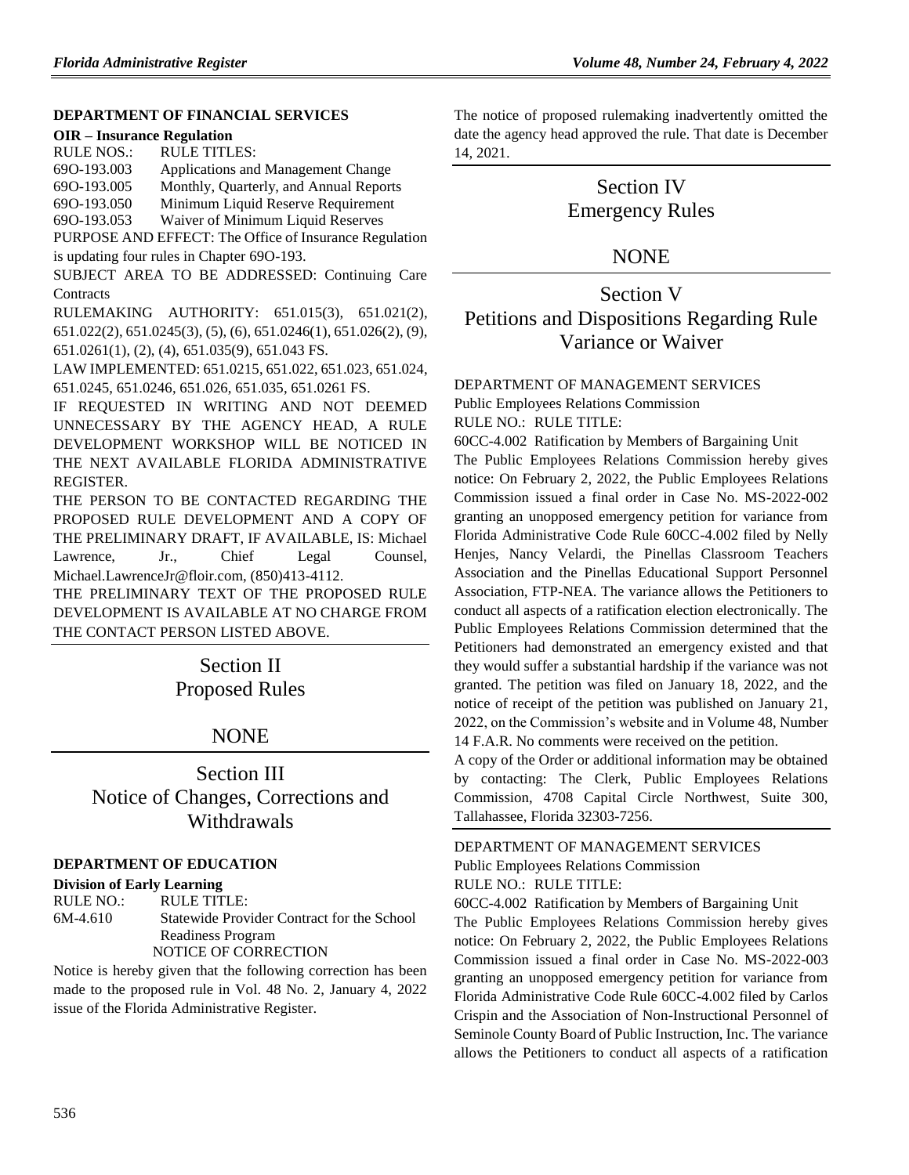## **[DEPARTMENT OF FINANCIAL SERVICES](https://www.flrules.org/gateway/department.asp?id=69)**

#### **OIR – [Insurance Regulation](https://www.flrules.org/gateway/organization.asp?id=520)**

| 690-193.003<br>Applications and Management Change     |  |
|-------------------------------------------------------|--|
|                                                       |  |
| 690-193.005<br>Monthly, Quarterly, and Annual Reports |  |
| 690-193.050<br>Minimum Liquid Reserve Requirement     |  |
| 690-193.053<br>Waiver of Minimum Liquid Reserves      |  |

PURPOSE AND EFFECT: The Office of Insurance Regulation is updating four rules in Chapter 69O-193.

SUBJECT AREA TO BE ADDRESSED: Continuing Care **Contracts** 

RULEMAKING AUTHORITY: [651.015\(3\),](https://www.flrules.org/gateway/statute.asp?id=651.015(3)) [651.021\(2\),](https://www.flrules.org/gateway/statute.asp?id=%20651.021(2)) [651.022\(2\),](https://www.flrules.org/gateway/statute.asp?id=%20651.022(2)) [651.0245\(3\),](https://www.flrules.org/gateway/statute.asp?id=%20651.0245(3)) (5), (6)[, 651.0246\(1\),](https://www.flrules.org/gateway/statute.asp?id=%20651.0246(1)) [651.026\(2\),](https://www.flrules.org/gateway/statute.asp?id=%20651.026(2)) (9), [651.0261\(1\),](https://www.flrules.org/gateway/statute.asp?id=%20651.0261(1)) (2), (4), [651.035\(9\),](https://www.flrules.org/gateway/statute.asp?id=%20651.035(9)) [651.043 FS.](https://www.flrules.org/gateway/statute.asp?id=%20651.043%20FS.)

LAW IMPLEMENTED[: 651.0215,](https://www.flrules.org/gateway/statute.asp?id=651.0215) [651.022,](https://www.flrules.org/gateway/statute.asp?id=%20651.022) [651.023,](https://www.flrules.org/gateway/statute.asp?id=%20651.023) [651.024,](https://www.flrules.org/gateway/statute.asp?id=%20651.024) [651.0245,](https://www.flrules.org/gateway/statute.asp?id=%20651.0245) [651.0246,](https://www.flrules.org/gateway/statute.asp?id=%20651.0246) [651.026,](https://www.flrules.org/gateway/statute.asp?id=%20651.026) [651.035,](https://www.flrules.org/gateway/statute.asp?id=%20651.035) [651.0261 FS.](https://www.flrules.org/gateway/statute.asp?id=%20651.0261%20FS.)

IF REQUESTED IN WRITING AND NOT DEEMED UNNECESSARY BY THE AGENCY HEAD, A RULE DEVELOPMENT WORKSHOP WILL BE NOTICED IN THE NEXT AVAILABLE FLORIDA ADMINISTRATIVE REGISTER.

THE PERSON TO BE CONTACTED REGARDING THE PROPOSED RULE DEVELOPMENT AND A COPY OF THE PRELIMINARY DRAFT, IF AVAILABLE, IS: Michael Lawrence, Jr., Chief Legal Counsel, Michael.LawrenceJr@floir.com, (850)413-4112.

THE PRELIMINARY TEXT OF THE PROPOSED RULE DEVELOPMENT IS AVAILABLE AT NO CHARGE FROM THE CONTACT PERSON LISTED ABOVE.

# Section II Proposed Rules

## NONE

Section III Notice of Changes, Corrections and **Withdrawals** 

## **[DEPARTMENT OF EDUCATION](https://www.flrules.org/gateway/department.asp?id=6)**

## **[Division of Early Learning](https://www.flrules.org/gateway/organization.asp?id=1044)**

RULE NO.: RULE TITLE: [6M-4.610](https://www.flrules.org/gateway/ruleNo.asp?id=6M-4.610) Statewide Provider Contract for the School Readiness Program NOTICE OF CORRECTION

Notice is hereby given that the following correction has been made to the proposed rule in Vol. 48 No. 2, January 4, 2022 issue of the Florida Administrative Register.

The notice of proposed rulemaking inadvertently omitted the date the agency head approved the rule. That date is December 14, 2021.

# Section IV Emergency Rules

## **NONE**

# Section V Petitions and Dispositions Regarding Rule Variance or Waiver

## [DEPARTMENT OF MANAGEMENT SERVICES](https://www.flrules.org/gateway/department.asp?id=60)

[Public Employees Relations Commission](https://www.flrules.org/gateway/organization.asp?id=502)

RULE NO.: RULE TITLE:

[60CC-4.002](https://www.flrules.org/gateway/ruleNo.asp?id=60CC-4.002) Ratification by Members of Bargaining Unit

The Public Employees Relations Commission hereby gives notice: On February 2, 2022, the Public Employees Relations Commission issued a final order in Case No. MS-2022-002 granting an unopposed emergency petition for variance from Florida Administrative Code Rule 60CC-4.002 filed by Nelly Henjes, Nancy Velardi, the Pinellas Classroom Teachers Association and the Pinellas Educational Support Personnel Association, FTP-NEA. The variance allows the Petitioners to conduct all aspects of a ratification election electronically. The Public Employees Relations Commission determined that the Petitioners had demonstrated an emergency existed and that they would suffer a substantial hardship if the variance was not granted. The petition was filed on January 18, 2022, and the notice of receipt of the petition was published on January 21, 2022, on the Commission's website and in Volume 48, Number 14 F.A.R. No comments were received on the petition.

A copy of the Order or additional information may be obtained by contacting: The Clerk, Public Employees Relations Commission, 4708 Capital Circle Northwest, Suite 300, Tallahassee, Florida 32303-7256.

## [DEPARTMENT OF MANAGEMENT SERVICES](https://www.flrules.org/gateway/department.asp?id=60) [Public Employees Relations](https://www.flrules.org/gateway/organization.asp?id=502) Commission

RULE NO.: RULE TITLE:

[60CC-4.002](https://www.flrules.org/gateway/ruleNo.asp?id=60CC-4.002) Ratification by Members of Bargaining Unit The Public Employees Relations Commission hereby gives notice: On February 2, 2022, the Public Employees Relations Commission issued a final order in Case No. MS-2022-003 granting an unopposed emergency petition for variance from Florida Administrative Code Rule 60CC-4.002 filed by Carlos Crispin and the Association of Non-Instructional Personnel of Seminole County Board of Public Instruction, Inc. The variance allows the Petitioners to conduct all aspects of a ratification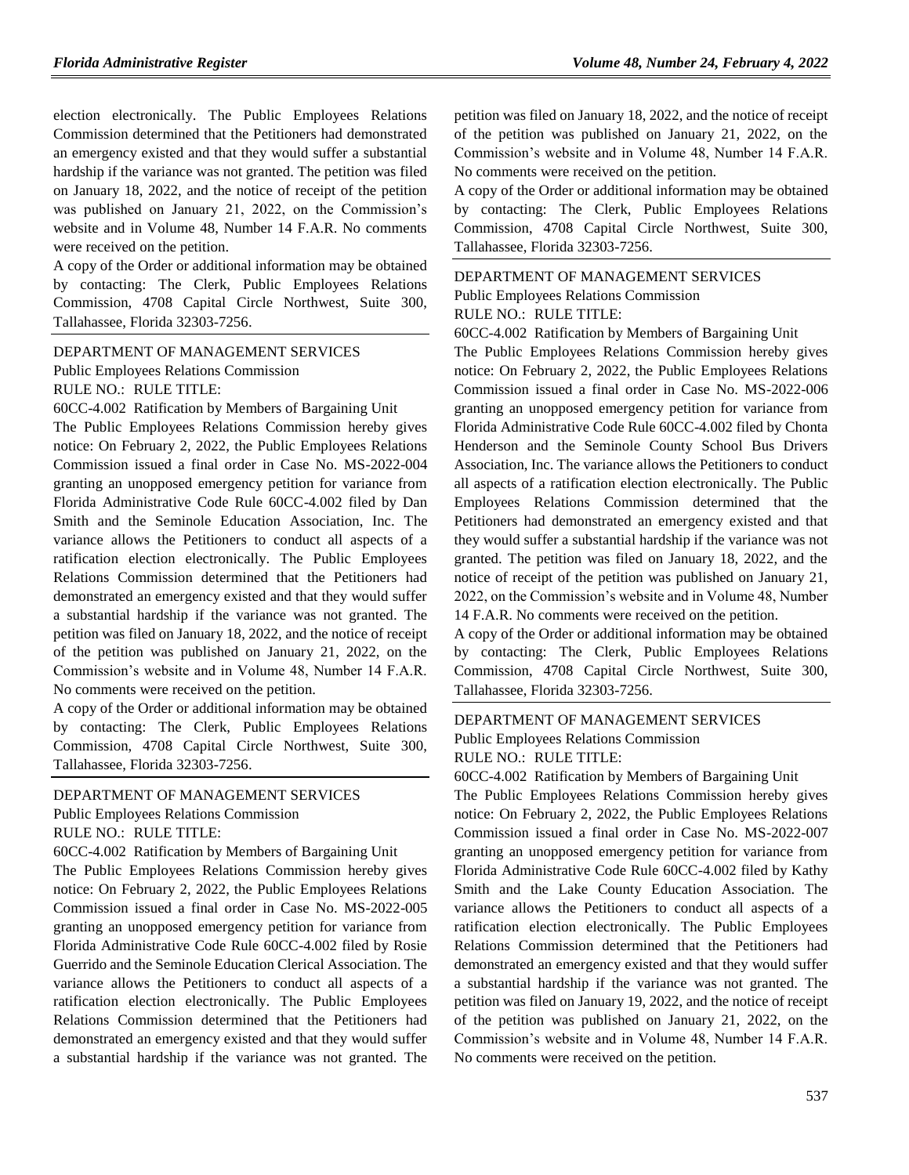election electronically. The Public Employees Relations Commission determined that the Petitioners had demonstrated an emergency existed and that they would suffer a substantial hardship if the variance was not granted. The petition was filed on January 18, 2022, and the notice of receipt of the petition was published on January 21, 2022, on the Commission's website and in Volume 48, Number 14 F.A.R. No comments were received on the petition.

A copy of the Order or additional information may be obtained by contacting: The Clerk, Public Employees Relations Commission, 4708 Capital Circle Northwest, Suite 300, Tallahassee, Florida 32303-7256.

[DEPARTMENT OF MANAGEMENT SERVICES](https://www.flrules.org/gateway/department.asp?id=60) [Public Employees Relations](https://www.flrules.org/gateway/organization.asp?id=502) Commission RULE NO.: RULE TITLE:

[60CC-4.002](https://www.flrules.org/gateway/ruleNo.asp?id=60CC-4.002) Ratification by Members of Bargaining Unit

The Public Employees Relations Commission hereby gives notice: On February 2, 2022, the Public Employees Relations Commission issued a final order in Case No. MS-2022-004 granting an unopposed emergency petition for variance from Florida Administrative Code Rule 60CC-4.002 filed by Dan Smith and the Seminole Education Association, Inc. The variance allows the Petitioners to conduct all aspects of a ratification election electronically. The Public Employees Relations Commission determined that the Petitioners had demonstrated an emergency existed and that they would suffer a substantial hardship if the variance was not granted. The petition was filed on January 18, 2022, and the notice of receipt of the petition was published on January 21, 2022, on the Commission's website and in Volume 48, Number 14 F.A.R. No comments were received on the petition.

A copy of the Order or additional information may be obtained by contacting: The Clerk, Public Employees Relations Commission, 4708 Capital Circle Northwest, Suite 300, Tallahassee, Florida 32303-7256.

#### [DEPARTMENT OF MANAGEMENT SERVICES](https://www.flrules.org/gateway/department.asp?id=60)

[Public Employees Relations Commission](https://www.flrules.org/gateway/organization.asp?id=502)

RULE NO.: RULE TITLE:

[60CC-4.002](https://www.flrules.org/gateway/ruleNo.asp?id=60CC-4.002) Ratification by Members of Bargaining Unit

The Public Employees Relations Commission hereby gives notice: On February 2, 2022, the Public Employees Relations Commission issued a final order in Case No. MS-2022-005 granting an unopposed emergency petition for variance from Florida Administrative Code Rule 60CC-4.002 filed by Rosie Guerrido and the Seminole Education Clerical Association. The variance allows the Petitioners to conduct all aspects of a ratification election electronically. The Public Employees Relations Commission determined that the Petitioners had demonstrated an emergency existed and that they would suffer a substantial hardship if the variance was not granted. The petition was filed on January 18, 2022, and the notice of receipt of the petition was published on January 21, 2022, on the Commission's website and in Volume 48, Number 14 F.A.R. No comments were received on the petition.

A copy of the Order or additional information may be obtained by contacting: The Clerk, Public Employees Relations Commission, 4708 Capital Circle Northwest, Suite 300, Tallahassee, Florida 32303-7256.

DEPARTMENT OF [MANAGEMENT SERVICES](https://www.flrules.org/gateway/department.asp?id=60) [Public Employees Relations Commission](https://www.flrules.org/gateway/organization.asp?id=502) RULE NO.: RULE TITLE:

[60CC-4.002](https://www.flrules.org/gateway/ruleNo.asp?id=60CC-4.002) Ratification by Members of Bargaining Unit

The Public Employees Relations Commission hereby gives notice: On February 2, 2022, the Public Employees Relations Commission issued a final order in Case No. MS-2022-006 granting an unopposed emergency petition for variance from Florida Administrative Code Rule 60CC-4.002 filed by Chonta Henderson and the Seminole County School Bus Drivers Association, Inc. The variance allows the Petitioners to conduct all aspects of a ratification election electronically. The Public Employees Relations Commission determined that the Petitioners had demonstrated an emergency existed and that they would suffer a substantial hardship if the variance was not granted. The petition was filed on January 18, 2022, and the notice of receipt of the petition was published on January 21, 2022, on the Commission's website and in Volume 48, Number 14 F.A.R. No comments were received on the petition.

A copy of the Order or additional information may be obtained by contacting: The Clerk, Public Employees Relations Commission, 4708 Capital Circle Northwest, Suite 300, Tallahassee, Florida 32303-7256.

## [DEPARTMENT OF MANAGEMENT SERVICES](https://www.flrules.org/gateway/department.asp?id=60) [Public Employees Relations Commission](https://www.flrules.org/gateway/organization.asp?id=502) RULE NO.: RULE TITLE:

[60CC-4.002](https://www.flrules.org/gateway/ruleNo.asp?id=60CC-4.002) Ratification by Members of Bargaining Unit

The Public Employees Relations Commission hereby gives notice: On February 2, 2022, the Public Employees Relations Commission issued a final order in Case No. MS-2022-007 granting an unopposed emergency petition for variance from Florida Administrative Code Rule 60CC-4.002 filed by Kathy Smith and the Lake County Education Association. The variance allows the Petitioners to conduct all aspects of a ratification election electronically. The Public Employees Relations Commission determined that the Petitioners had demonstrated an emergency existed and that they would suffer a substantial hardship if the variance was not granted. The petition was filed on January 19, 2022, and the notice of receipt of the petition was published on January 21, 2022, on the Commission's website and in Volume 48, Number 14 F.A.R. No comments were received on the petition.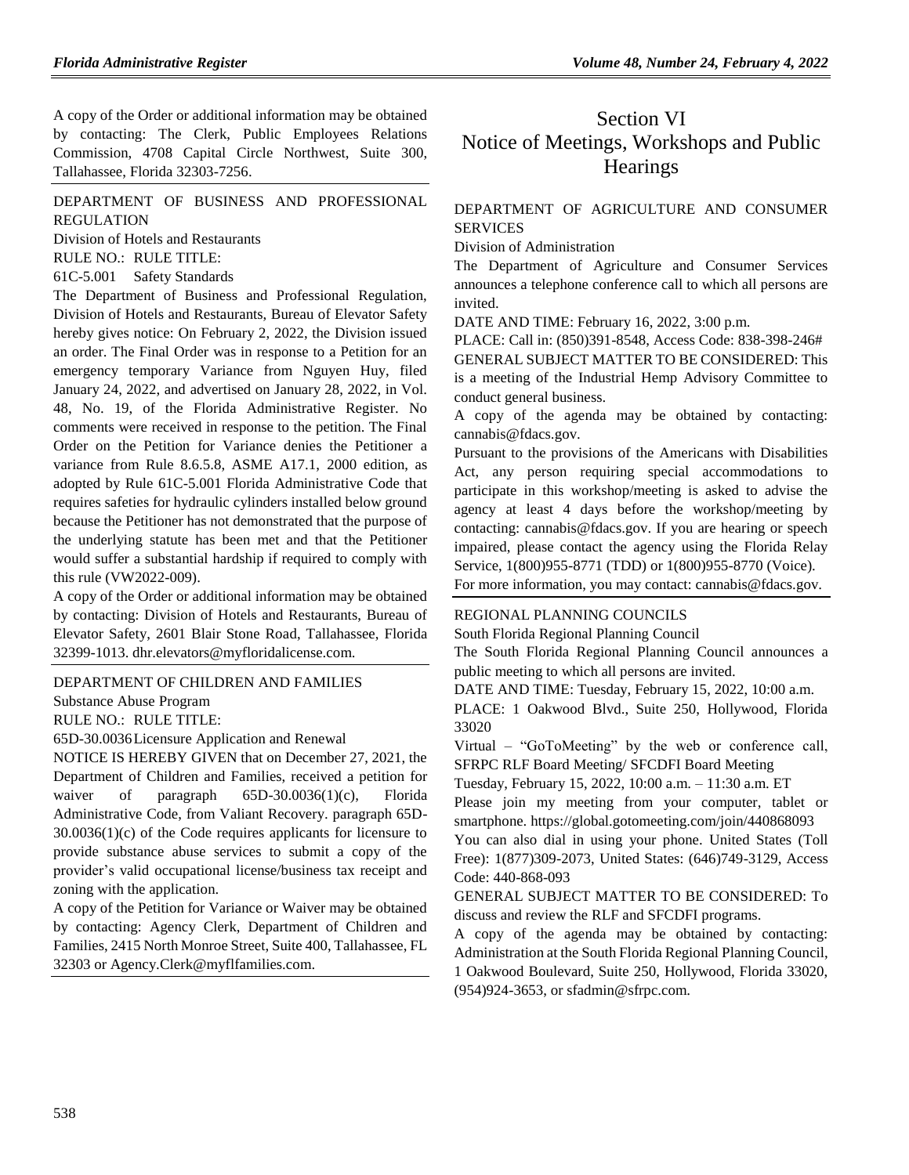A copy of the Order or additional information may be obtained by contacting: The Clerk, Public Employees Relations Commission, 4708 Capital Circle Northwest, Suite 300, Tallahassee, Florida 32303-7256.

## [DEPARTMENT OF BUSINESS AND PROFESSIONAL](https://www.flrules.org/gateway/department.asp?id=61)  [REGULATION](https://www.flrules.org/gateway/department.asp?id=61)

[Division of Hotels and Restaurants](https://www.flrules.org/gateway/organization.asp?id=249)

RULE NO.: RULE TITLE:

[61C-5.001](https://www.flrules.org/gateway/ruleNo.asp?id=61C-5.001) Safety Standards

The Department of Business and Professional Regulation, Division of Hotels and Restaurants, Bureau of Elevator Safety hereby gives notice: On February 2, 2022, the Division issued an order. The Final Order was in response to a Petition for an emergency temporary Variance from Nguyen Huy, filed January 24, 2022, and advertised on January 28, 2022, in Vol. 48, No. 19, of the Florida Administrative Register. No comments were received in response to the petition. The Final Order on the Petition for Variance denies the Petitioner a variance from Rule 8.6.5.8, ASME A17.1, 2000 edition, as adopted by Rule 61C-5.001 Florida Administrative Code that requires safeties for hydraulic cylinders installed below ground because the Petitioner has not demonstrated that the purpose of the underlying statute has been met and that the Petitioner would suffer a substantial hardship if required to comply with this rule (VW2022-009).

A copy of the Order or additional information may be obtained by contacting: Division of Hotels and Restaurants, Bureau of Elevator Safety, 2601 Blair Stone Road, Tallahassee, Florida 32399-1013. dhr.elevators@myfloridalicense.com.

#### [DEPARTMENT OF CHILDREN AND FAMILIES](https://www.flrules.org/gateway/department.asp?id=65)

[Substance Abuse Program](https://www.flrules.org/gateway/organization.asp?id=343)

RULE NO.: RULE TITLE:

[65D-30.0036L](https://www.flrules.org/gateway/ruleNo.asp?id=65D-30.0036)icensure Application and Renewal

NOTICE IS HEREBY GIVEN that on December 27, 2021, the Department of Children and Families, received a petition for waiver of paragraph 65D-30.0036(1)(c), Florida Administrative Code, from Valiant Recovery. paragraph 65D-30.0036(1)(c) of the Code requires applicants for licensure to provide substance abuse services to submit a copy of the provider's valid occupational license/business tax receipt and zoning with the application.

A copy of the Petition for Variance or Waiver may be obtained by contacting: Agency Clerk, Department of Children and Families, 2415 North Monroe Street, Suite 400, Tallahassee, FL 32303 or Agency.Clerk@myflfamilies.com.

# Section VI Notice of Meetings, Workshops and Public **Hearings**

## [DEPARTMENT OF AGRICULTURE AND CONSUMER](https://www.flrules.org/gateway/department.asp?id=5)  **[SERVICES](https://www.flrules.org/gateway/department.asp?id=5)**

[Division of Administration](https://www.flrules.org/gateway/organization.asp?id=161)

The Department of Agriculture and Consumer Services announces a telephone conference call to which all persons are invited.

DATE AND TIME: February 16, 2022, 3:00 p.m.

PLACE: Call in: (850)391-8548, Access Code: 838-398-246# GENERAL SUBJECT MATTER TO BE CONSIDERED: This is a meeting of the Industrial Hemp Advisory Committee to conduct general business.

A copy of the agenda may be obtained by contacting: cannabis@fdacs.gov.

Pursuant to the provisions of the Americans with Disabilities Act, any person requiring special accommodations to participate in this workshop/meeting is asked to advise the agency at least 4 days before the workshop/meeting by contacting: cannabis@fdacs.gov. If you are hearing or speech impaired, please contact the agency using the Florida Relay Service, 1(800)955-8771 (TDD) or 1(800)955-8770 (Voice).

For more information, you may contact: cannabis@fdacs.gov.

#### [REGIONAL PLANNING COUNCILS](https://www.flrules.org/gateway/department.asp?id=29)

[South Florida Regional Planning Council](https://www.flrules.org/gateway/organization.asp?id=66)

The South Florida Regional Planning Council announces a public meeting to which all persons are invited.

DATE AND TIME: Tuesday, February 15, 2022, 10:00 a.m.

PLACE: 1 Oakwood Blvd., Suite 250, Hollywood, Florida 33020

Virtual – "GoToMeeting" by the web or conference call, SFRPC RLF Board Meeting/ SFCDFI Board Meeting

Tuesday, February 15, 2022, 10:00 a.m. – 11:30 a.m. ET

Please join my meeting from your computer, tablet or smartphone. https://global.gotomeeting.com/join/440868093

You can also dial in using your phone. United States (Toll Free): 1(877)309-2073, United States: (646)749-3129, Access Code: 440-868-093

GENERAL SUBJECT MATTER TO BE CONSIDERED: To discuss and review the RLF and SFCDFI programs.

A copy of the agenda may be obtained by contacting: Administration at the South Florida Regional Planning Council, 1 Oakwood Boulevard, Suite 250, Hollywood, Florida 33020, (954)924-3653, or sfadmin@sfrpc.com.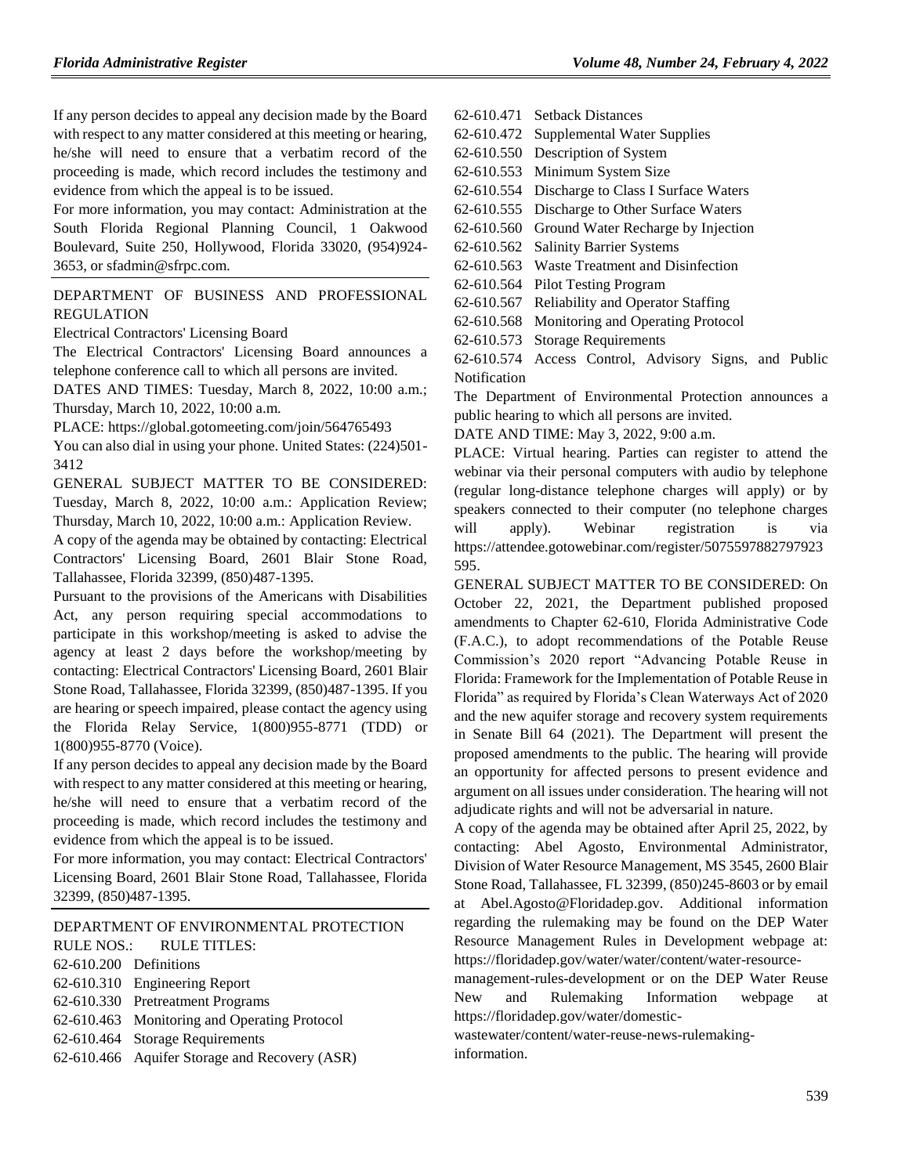If any person decides to appeal any decision made by the Board with respect to any matter considered at this meeting or hearing, he/she will need to ensure that a verbatim record of the proceeding is made, which record includes the testimony and evidence from which the appeal is to be issued.

For more information, you may contact: Administration at the South Florida Regional Planning Council, 1 Oakwood Boulevard, Suite 250, Hollywood, Florida 33020, (954)924- 3653, or sfadmin@sfrpc.com.

## [DEPARTMENT OF BUSINESS AND PROFESSIONAL](https://www.flrules.org/gateway/department.asp?id=61)  [REGULATION](https://www.flrules.org/gateway/department.asp?id=61)

[Electrical Contractors' Licensing Board](https://www.flrules.org/gateway/organization.asp?id=276)

The Electrical Contractors' Licensing Board announces a telephone conference call to which all persons are invited.

DATES AND TIMES: Tuesday, March 8, 2022, 10:00 a.m.; Thursday, March 10, 2022, 10:00 a.m.

PLACE: https://global.gotomeeting.com/join/564765493

You can also dial in using your phone. United States: (224)501- 3412

GENERAL SUBJECT MATTER TO BE CONSIDERED: Tuesday, March 8, 2022, 10:00 a.m.: Application Review; Thursday, March 10, 2022, 10:00 a.m.: Application Review.

A copy of the agenda may be obtained by contacting: Electrical Contractors' Licensing Board, 2601 Blair Stone Road, Tallahassee, Florida 32399, (850)487-1395.

Pursuant to the provisions of the Americans with Disabilities Act, any person requiring special accommodations to participate in this workshop/meeting is asked to advise the agency at least 2 days before the workshop/meeting by contacting: Electrical Contractors' Licensing Board, 2601 Blair Stone Road, Tallahassee, Florida 32399, (850)487-1395. If you are hearing or speech impaired, please contact the agency using the Florida Relay Service, 1(800)955-8771 (TDD) or 1(800)955-8770 (Voice).

If any person decides to appeal any decision made by the Board with respect to any matter considered at this meeting or hearing, he/she will need to ensure that a verbatim record of the proceeding is made, which record includes the testimony and evidence from which the appeal is to be issued.

For more information, you may contact: Electrical Contractors' Licensing Board, 2601 Blair Stone Road, Tallahassee, Florida 32399, (850)487-1395.

|                          | DEPARTMENT OF ENVIRONMENTAL PROTECTION        |
|--------------------------|-----------------------------------------------|
|                          | RULE NOS.: RULE TITLES:                       |
| $62-610.200$ Definitions |                                               |
|                          | 62-610.310 Engineering Report                 |
|                          | 62-610.330 Pretreatment Programs              |
|                          | 62-610.463 Monitoring and Operating Protocol  |
|                          | 62-610.464 Storage Requirements               |
|                          | 62-610.466 Aquifer Storage and Recovery (ASR) |
|                          |                                               |

- [62-610.471](https://www.flrules.org/gateway/ruleNo.asp?id=62-610.471) Setback Distances
- [62-610.472](https://www.flrules.org/gateway/ruleNo.asp?id=62-610.472) Supplemental Water Supplies
- [62-610.550](https://www.flrules.org/gateway/ruleNo.asp?id=62-610.550) Description of System
- [62-610.553](https://www.flrules.org/gateway/ruleNo.asp?id=62-610.553) Minimum System Size
- [62-610.554](https://www.flrules.org/gateway/ruleNo.asp?id=62-610.554) Discharge to Class I Surface Waters
- [62-610.555](https://www.flrules.org/gateway/ruleNo.asp?id=62-610.555) Discharge to Other Surface Waters
- [62-610.560](https://www.flrules.org/gateway/ruleNo.asp?id=62-610.560) Ground Water Recharge by Injection
- [62-610.562](https://www.flrules.org/gateway/ruleNo.asp?id=62-610.562) Salinity Barrier Systems

[62-610.563](https://www.flrules.org/gateway/ruleNo.asp?id=62-610.563) Waste Treatment and Disinfection

- [62-610.564](https://www.flrules.org/gateway/ruleNo.asp?id=62-610.564) Pilot Testing Program
- [62-610.567](https://www.flrules.org/gateway/ruleNo.asp?id=62-610.567) Reliability and Operator Staffing
- [62-610.568](https://www.flrules.org/gateway/ruleNo.asp?id=62-610.568) Monitoring and Operating Protocol
- [62-610.573](https://www.flrules.org/gateway/ruleNo.asp?id=62-610.573) Storage Requirements

[62-610.574](https://www.flrules.org/gateway/ruleNo.asp?id=62-610.574) Access Control, Advisory Signs, and Public Notification

The Department of Environmental Protection announces a public hearing to which all persons are invited.

DATE AND TIME: May 3, 2022, 9:00 a.m.

PLACE: Virtual hearing. Parties can register to attend the webinar via their personal computers with audio by telephone (regular long-distance telephone charges will apply) or by speakers connected to their computer (no telephone charges will apply). Webinar registration is via [https://attendee.gotowebinar.com/register/5075597882797923](https://attendee.gotowebinar.com/register/5075597882797923595) [595.](https://attendee.gotowebinar.com/register/5075597882797923595)

GENERAL SUBJECT MATTER TO BE CONSIDERED: On October 22, 2021, the Department published proposed amendments to Chapter 62-610, Florida Administrative Code (F.A.C.), to adopt recommendations of the Potable Reuse Commission's 2020 report "Advancing Potable Reuse in Florida: Framework for the Implementation of Potable Reuse in Florida" as required by Florida's Clean Waterways Act of 2020 and the new aquifer storage and recovery system requirements in Senate Bill 64 (2021). The Department will present the proposed amendments to the public. The hearing will provide an opportunity for affected persons to present evidence and argument on all issues under consideration. The hearing will not adjudicate rights and will not be adversarial in nature.

A copy of the agenda may be obtained after April 25, 2022, by contacting: Abel Agosto, Environmental Administrator, Division of Water Resource Management, MS 3545, 2600 Blair Stone Road, Tallahassee, FL 32399, (850)245-8603 or by email at [Abel.Agosto@Floridadep.gov.](mailto:Abel.Agosto@Floridadep.gov) Additional information regarding the rulemaking may be found on the DEP Water Resource Management Rules in Development webpage at: [https://floridadep.gov/water/water/content/water-resource-](https://floridadep.gov/water/water/content/water-resource-management-rules-development)

[management-rules-development](https://floridadep.gov/water/water/content/water-resource-management-rules-development) or on the DEP Water Reuse New and Rulemaking Information webpage at [https://floridadep.gov/water/domestic-](https://floridadep.gov/water/domestic-wastewater/content/water-reuse-news-rulemaking-information)

[wastewater/content/water-reuse-news-rulemaking](https://floridadep.gov/water/domestic-wastewater/content/water-reuse-news-rulemaking-information)[information.](https://floridadep.gov/water/domestic-wastewater/content/water-reuse-news-rulemaking-information)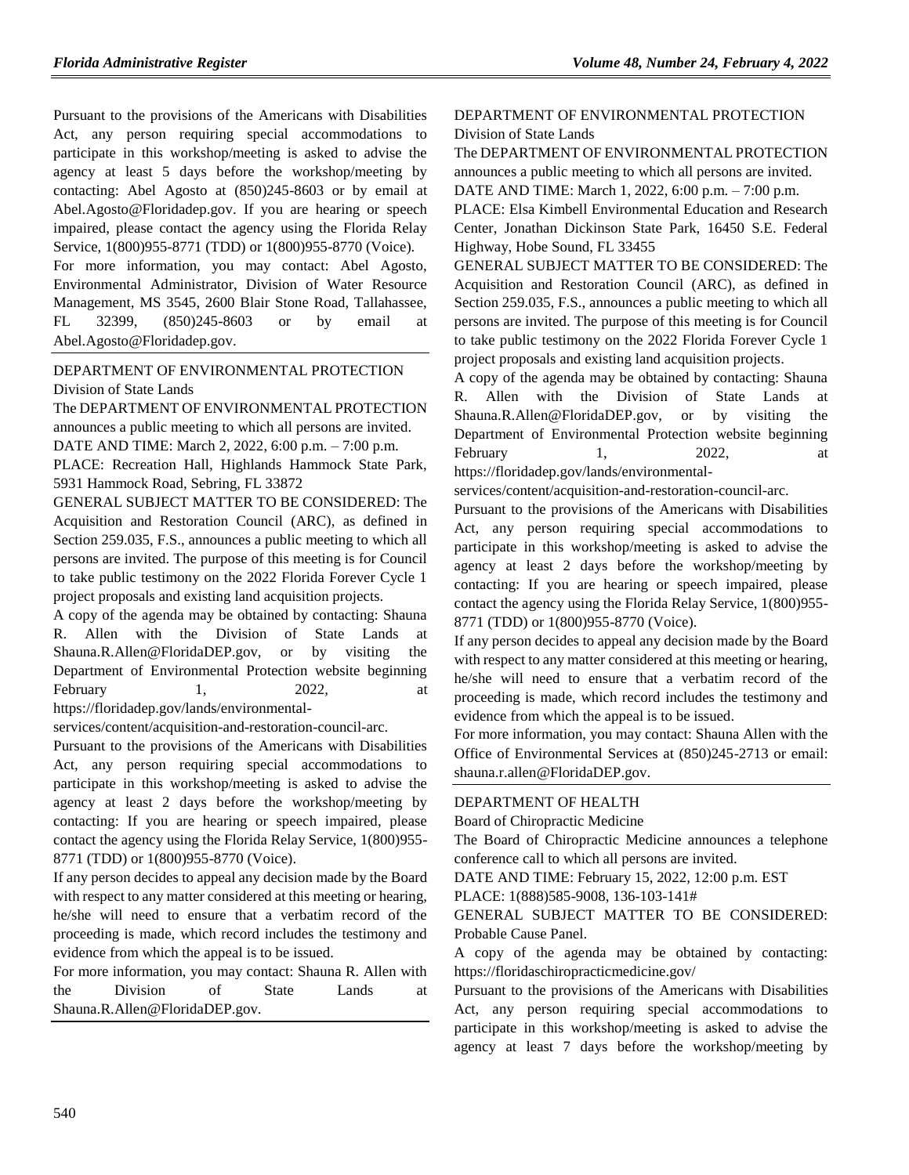Pursuant to the provisions of the Americans with Disabilities Act, any person requiring special accommodations to participate in this workshop/meeting is asked to advise the agency at least 5 days before the workshop/meeting by contacting: Abel Agosto at (850)245-8603 or by email at [Abel.Agosto@Floridadep.gov.](mailto:Abel.Agosto@Floridadep.gov) If you are hearing or speech impaired, please contact the agency using the Florida Relay Service, 1(800)955-8771 (TDD) or 1(800)955-8770 (Voice).

For more information, you may contact: Abel Agosto, Environmental Administrator, Division of Water Resource Management, MS 3545, 2600 Blair Stone Road, Tallahassee, FL 32399, (850)245-8603 or by email at [Abel.Agosto@Floridadep.gov.](mailto:Abel.Agosto@Floridadep.gov)

## [DEPARTMENT OF ENVIRONMENTAL PROTECTION](https://www.flrules.org/gateway/department.asp?id=62) [Division of State Lands](https://www.flrules.org/gateway/organization.asp?id=292)

The DEPARTMENT OF ENVIRONMENTAL PROTECTION announces a public meeting to which all persons are invited. DATE AND TIME: March 2, 2022, 6:00 p.m. – 7:00 p.m. PLACE: Recreation Hall, Highlands Hammock State Park, 5931 Hammock Road, Sebring, FL 33872

GENERAL SUBJECT MATTER TO BE CONSIDERED: The Acquisition and Restoration Council (ARC), as defined in Section 259.035, F.S., announces a public meeting to which all persons are invited. The purpose of this meeting is for Council to take public testimony on the 2022 Florida Forever Cycle 1 project proposals and existing land acquisition projects.

A copy of the agenda may be obtained by contacting: Shauna R. Allen with the Division of State Lands at Shauna.R.Allen@FloridaDEP.gov, or by visiting the Department of Environmental Protection website beginning February 1,  $2022$ , at https://floridadep.gov/lands/environmental-

services/content/acquisition-and-restoration-council-arc.

Pursuant to the provisions of the Americans with Disabilities Act, any person requiring special accommodations to participate in this workshop/meeting is asked to advise the agency at least 2 days before the workshop/meeting by contacting: If you are hearing or speech impaired, please contact the agency using the Florida Relay Service, 1(800)955- 8771 (TDD) or 1(800)955-8770 (Voice).

If any person decides to appeal any decision made by the Board with respect to any matter considered at this meeting or hearing, he/she will need to ensure that a verbatim record of the proceeding is made, which record includes the testimony and evidence from which the appeal is to be issued.

For more information, you may contact: Shauna R. Allen with the Division of State Lands at Shauna.R.Allen@FloridaDEP.gov.

## [DEPARTMENT OF ENVIRONMENTAL PROTECTION](https://www.flrules.org/gateway/department.asp?id=62) [Division of State Lands](https://www.flrules.org/gateway/organization.asp?id=292)

The DEPARTMENT OF ENVIRONMENTAL PROTECTION announces a public meeting to which all persons are invited. DATE AND TIME: March 1, 2022, 6:00 p.m. – 7:00 p.m.

PLACE: Elsa Kimbell Environmental Education and Research Center, Jonathan Dickinson State Park, 16450 S.E. Federal Highway, Hobe Sound, FL 33455

GENERAL SUBJECT MATTER TO BE CONSIDERED: The Acquisition and Restoration Council (ARC), as defined in Section 259.035, F.S., announces a public meeting to which all persons are invited. The purpose of this meeting is for Council to take public testimony on the 2022 Florida Forever Cycle 1 project proposals and existing land acquisition projects.

A copy of the agenda may be obtained by contacting: Shauna R. Allen with the Division of State Lands at Shauna.R.Allen@FloridaDEP.gov, or by visiting the Department of Environmental Protection website beginning February 1, 2022, at https://floridadep.gov/lands/environmental-

services/content/acquisition-and-restoration-council-arc.

Pursuant to the provisions of the Americans with Disabilities Act, any person requiring special accommodations to participate in this workshop/meeting is asked to advise the agency at least 2 days before the workshop/meeting by contacting: If you are hearing or speech impaired, please contact the agency using the Florida Relay Service, 1(800)955- 8771 (TDD) or 1(800)955-8770 (Voice).

If any person decides to appeal any decision made by the Board with respect to any matter considered at this meeting or hearing, he/she will need to ensure that a verbatim record of the proceeding is made, which record includes the testimony and evidence from which the appeal is to be issued.

For more information, you may contact: Shauna Allen with the Office of Environmental Services at (850)245-2713 or email: shauna.r.allen@FloridaDEP.gov.

## [DEPARTMENT OF HEALTH](https://www.flrules.org/gateway/department.asp?id=64)

[Board of Chiropractic Medicine](https://www.flrules.org/gateway/organization.asp?id=311)

The Board of Chiropractic Medicine announces a telephone conference call to which all persons are invited.

DATE AND TIME: February 15, 2022, 12:00 p.m. EST

PLACE: 1(888)585-9008, 136-103-141#

GENERAL SUBJECT MATTER TO BE CONSIDERED: Probable Cause Panel.

A copy of the agenda may be obtained by contacting: https://floridaschiropracticmedicine.gov/

Pursuant to the provisions of the Americans with Disabilities Act, any person requiring special accommodations to participate in this workshop/meeting is asked to advise the agency at least 7 days before the workshop/meeting by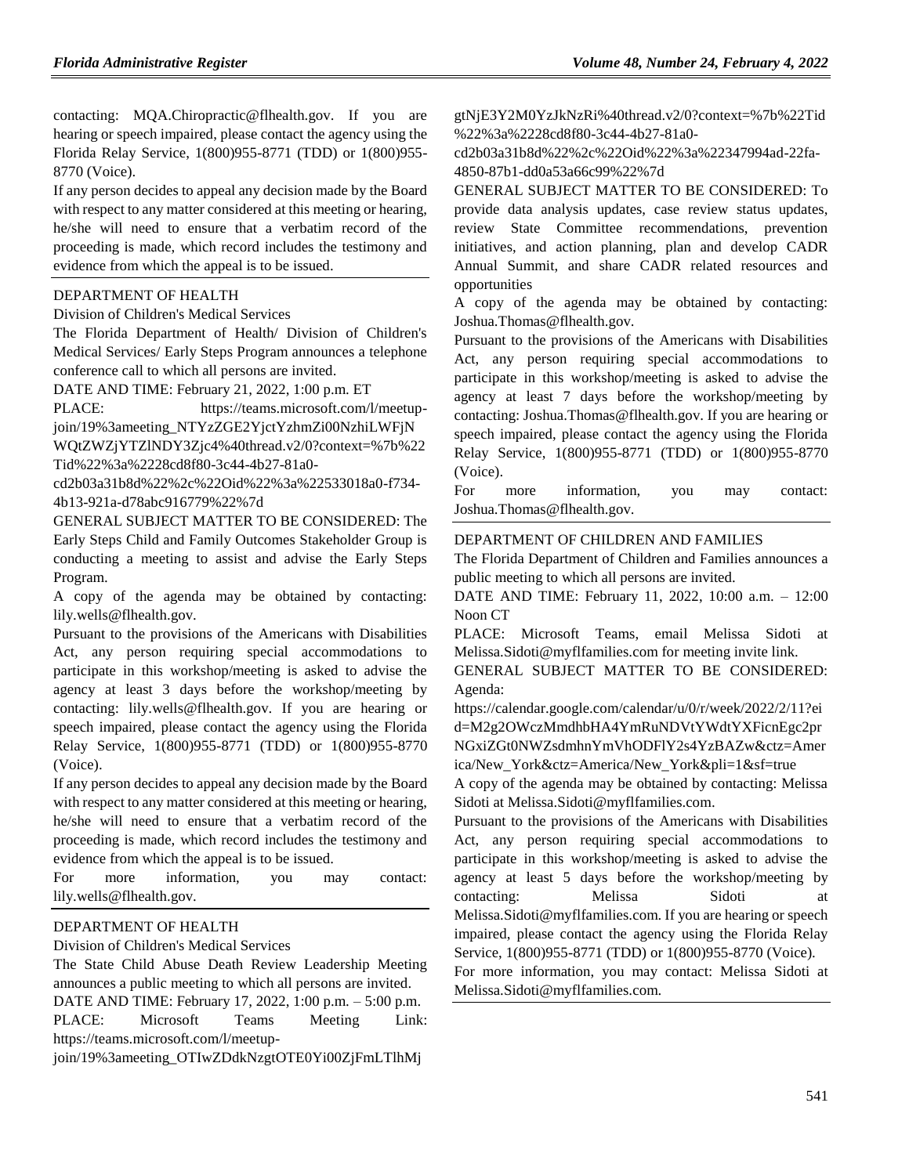contacting: MQA.Chiropractic@flhealth.gov. If you are hearing or speech impaired, please contact the agency using the Florida Relay Service, 1(800)955-8771 (TDD) or 1(800)955- 8770 (Voice).

If any person decides to appeal any decision made by the Board with respect to any matter considered at this meeting or hearing, he/she will need to ensure that a verbatim record of the proceeding is made, which record includes the testimony and evidence from which the appeal is to be issued.

## [DEPARTMENT OF HEALTH](https://www.flrules.org/gateway/department.asp?id=64)

[Division of Children's Medical Services](https://www.flrules.org/gateway/organization.asp?id=333)

The Florida Department of Health/ Division of Children's Medical Services/ Early Steps Program announces a telephone conference call to which all persons are invited.

DATE AND TIME: February 21, 2022, 1:00 p.m. ET

PLACE: https://teams.microsoft.com/l/meetupjoin/19%3ameeting\_NTYzZGE2YjctYzhmZi00NzhiLWFjN

WQtZWZjYTZlNDY3Zjc4%40thread.v2/0?context=%7b%22 Tid%22%3a%2228cd8f80-3c44-4b27-81a0-

cd2b03a31b8d%22%2c%22Oid%22%3a%22533018a0-f734- 4b13-921a-d78abc916779%22%7d

GENERAL SUBJECT MATTER TO BE CONSIDERED: The Early Steps Child and Family Outcomes Stakeholder Group is conducting a meeting to assist and advise the Early Steps Program.

A copy of the agenda may be obtained by contacting: lily.wells@flhealth.gov.

Pursuant to the provisions of the Americans with Disabilities Act, any person requiring special accommodations to participate in this workshop/meeting is asked to advise the agency at least 3 days before the workshop/meeting by contacting: lily.wells@flhealth.gov. If you are hearing or speech impaired, please contact the agency using the Florida Relay Service, 1(800)955-8771 (TDD) or 1(800)955-8770 (Voice).

If any person decides to appeal any decision made by the Board with respect to any matter considered at this meeting or hearing, he/she will need to ensure that a verbatim record of the proceeding is made, which record includes the testimony and evidence from which the appeal is to be issued.

For more information, you may contact: lily.wells@flhealth.gov.

#### [DEPARTMENT OF HEALTH](https://www.flrules.org/gateway/department.asp?id=64)

[Division of Children's Medical Services](https://www.flrules.org/gateway/organization.asp?id=333)

The State Child Abuse Death Review Leadership Meeting announces a public meeting to which all persons are invited.

DATE AND TIME: February 17, 2022, 1:00 p.m. – 5:00 p.m. PLACE: Microsoft Teams Meeting Link: https://teams.microsoft.com/l/meetup-

join/19%3ameeting\_OTIwZDdkNzgtOTE0Yi00ZjFmLTlhMj

gtNjE3Y2M0YzJkNzRi%40thread.v2/0?context=%7b%22Tid %22%3a%2228cd8f80-3c44-4b27-81a0-

cd2b03a31b8d%22%2c%22Oid%22%3a%22347994ad-22fa-4850-87b1-dd0a53a66c99%22%7d

GENERAL SUBJECT MATTER TO BE CONSIDERED: To provide data analysis updates, case review status updates, review State Committee recommendations, prevention initiatives, and action planning, plan and develop CADR Annual Summit, and share CADR related resources and opportunities

A copy of the agenda may be obtained by contacting: Joshua.Thomas@flhealth.gov.

Pursuant to the provisions of the Americans with Disabilities Act, any person requiring special accommodations to participate in this workshop/meeting is asked to advise the agency at least 7 days before the workshop/meeting by contacting: Joshua.Thomas@flhealth.gov. If you are hearing or speech impaired, please contact the agency using the Florida Relay Service, 1(800)955-8771 (TDD) or 1(800)955-8770 (Voice).

For more information, you may contact: Joshua.Thomas@flhealth.gov.

#### [DEPARTMENT OF CHILDREN AND FAMILIES](https://www.flrules.org/gateway/department.asp?id=65)

The Florida Department of Children and Families announces a public meeting to which all persons are invited.

DATE AND TIME: February 11, 2022, 10:00 a.m. – 12:00 Noon CT

PLACE: Microsoft Teams, email Melissa Sidoti at Melissa.Sidoti@myflfamilies.com for meeting invite link.

GENERAL SUBJECT MATTER TO BE CONSIDERED: Agenda:

https://calendar.google.com/calendar/u/0/r/week/2022/2/11?ei d=M2g2OWczMmdhbHA4YmRuNDVtYWdtYXFicnEgc2pr NGxiZGt0NWZsdmhnYmVhODFlY2s4YzBAZw&ctz=Amer ica/New\_York&ctz=America/New\_York&pli=1&sf=true

A copy of the agenda may be obtained by contacting: Melissa Sidoti at Melissa.Sidoti@myflfamilies.com.

Pursuant to the provisions of the Americans with Disabilities Act, any person requiring special accommodations to participate in this workshop/meeting is asked to advise the agency at least 5 days before the workshop/meeting by contacting: Melissa Sidoti at Melissa.Sidoti@myflfamilies.com. If you are hearing or speech impaired, please contact the agency using the Florida Relay Service, 1(800)955-8771 (TDD) or 1(800)955-8770 (Voice). For more information, you may contact: Melissa Sidoti at

Melissa.Sidoti@myflfamilies.com.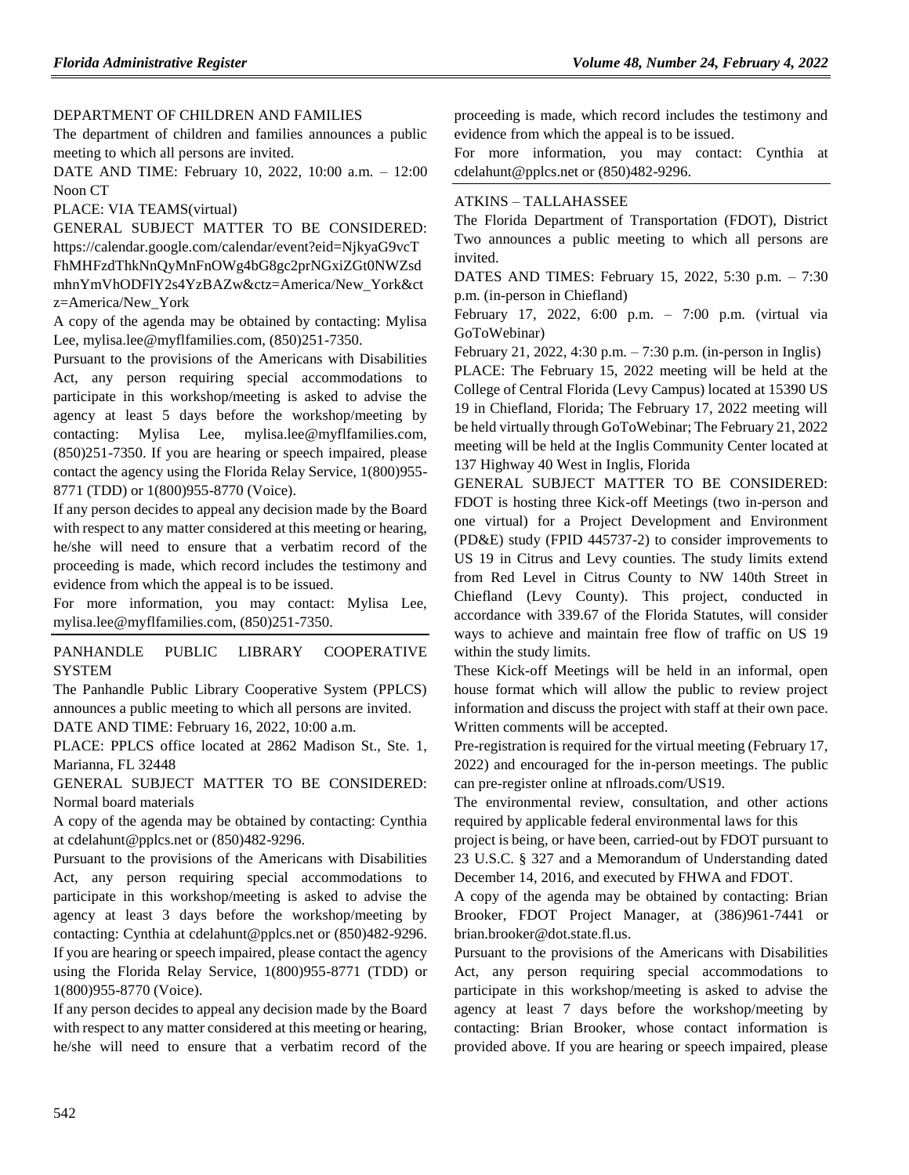## [DEPARTMENT OF CHILDREN AND FAMILIES](https://www.flrules.org/gateway/department.asp?id=65)

The department of children and families announces a public meeting to which all persons are invited.

DATE AND TIME: February 10, 2022, 10:00 a.m. – 12:00 Noon CT

PLACE: VIA TEAMS(virtual)

GENERAL SUBJECT MATTER TO BE CONSIDERED: https://calendar.google.com/calendar/event?eid=NjkyaG9vcT FhMHFzdThkNnQyMnFnOWg4bG8gc2prNGxiZGt0NWZsd mhnYmVhODFlY2s4YzBAZw&ctz=America/New\_York&ct z=America/New\_York

A copy of the agenda may be obtained by contacting: Mylisa Lee, mylisa.lee@myflfamilies.com, (850)251-7350.

Pursuant to the provisions of the Americans with Disabilities Act, any person requiring special accommodations to participate in this workshop/meeting is asked to advise the agency at least 5 days before the workshop/meeting by contacting: Mylisa Lee, mylisa.lee@myflfamilies.com, (850)251-7350. If you are hearing or speech impaired, please contact the agency using the Florida Relay Service, 1(800)955- 8771 (TDD) or 1(800)955-8770 (Voice).

If any person decides to appeal any decision made by the Board with respect to any matter considered at this meeting or hearing, he/she will need to ensure that a verbatim record of the proceeding is made, which record includes the testimony and evidence from which the appeal is to be issued.

For more information, you may contact: Mylisa Lee, mylisa.lee@myflfamilies.com, (850)251-7350.

## [PANHANDLE PUBLIC LIBRARY COOPERATIVE](https://www.flrules.org/gateway/organization.asp?id=1317)  **[SYSTEM](https://www.flrules.org/gateway/organization.asp?id=1317)**

The Panhandle Public Library Cooperative System (PPLCS) announces a public meeting to which all persons are invited. DATE AND TIME: February 16, 2022, 10:00 a.m.

PLACE: PPLCS office located at 2862 Madison St., Ste. 1, Marianna, FL 32448

GENERAL SUBJECT MATTER TO BE CONSIDERED: Normal board materials

A copy of the agenda may be obtained by contacting: Cynthia at cdelahunt@pplcs.net or (850)482-9296.

Pursuant to the provisions of the Americans with Disabilities Act, any person requiring special accommodations to participate in this workshop/meeting is asked to advise the agency at least 3 days before the workshop/meeting by contacting: Cynthia at cdelahunt@pplcs.net or (850)482-9296. If you are hearing or speech impaired, please contact the agency using the Florida Relay Service, 1(800)955-8771 (TDD) or 1(800)955-8770 (Voice).

If any person decides to appeal any decision made by the Board with respect to any matter considered at this meeting or hearing, he/she will need to ensure that a verbatim record of the proceeding is made, which record includes the testimony and evidence from which the appeal is to be issued.

For more information, you may contact: Cynthia at cdelahunt@pplcs.net or (850)482-9296.

#### ATKINS – [TALLAHASSEE](https://www.flrules.org/gateway/organization.asp?id=903)

The Florida Department of Transportation (FDOT), District Two announces a public meeting to which all persons are invited.

DATES AND TIMES: February 15, 2022, 5:30 p.m. – 7:30 p.m. (in-person in Chiefland)

February 17, 2022, 6:00 p.m. – 7:00 p.m. (virtual via GoToWebinar)

February 21, 2022, 4:30 p.m. – 7:30 p.m. (in-person in Inglis)

PLACE: The February 15, 2022 meeting will be held at the College of Central Florida (Levy Campus) located at 15390 US 19 in Chiefland, Florida; The February 17, 2022 meeting will be held virtually through GoToWebinar; The February 21, 2022 meeting will be held at the Inglis Community Center located at 137 Highway 40 West in Inglis, Florida

GENERAL SUBJECT MATTER TO BE CONSIDERED: FDOT is hosting three Kick-off Meetings (two in-person and one virtual) for a Project Development and Environment (PD&E) study (FPID 445737-2) to consider improvements to US 19 in Citrus and Levy counties. The study limits extend from Red Level in Citrus County to NW 140th Street in Chiefland (Levy County). This project, conducted in accordance with 339.67 of the Florida Statutes, will consider ways to achieve and maintain free flow of traffic on US 19 within the study limits.

These Kick-off Meetings will be held in an informal, open house format which will allow the public to review project information and discuss the project with staff at their own pace. Written comments will be accepted.

Pre-registration is required for the virtual meeting (February 17, 2022) and encouraged for the in-person meetings. The public can pre-register online at nflroads.com/US19.

The environmental review, consultation, and other actions required by applicable federal environmental laws for this

project is being, or have been, carried-out by FDOT pursuant to 23 U.S.C. § 327 and a Memorandum of Understanding dated December 14, 2016, and executed by FHWA and FDOT.

A copy of the agenda may be obtained by contacting: Brian Brooker, FDOT Project Manager, at (386)961-7441 or brian.brooker@dot.state.fl.us.

Pursuant to the provisions of the Americans with Disabilities Act, any person requiring special accommodations to participate in this workshop/meeting is asked to advise the agency at least 7 days before the workshop/meeting by contacting: Brian Brooker, whose contact information is provided above. If you are hearing or speech impaired, please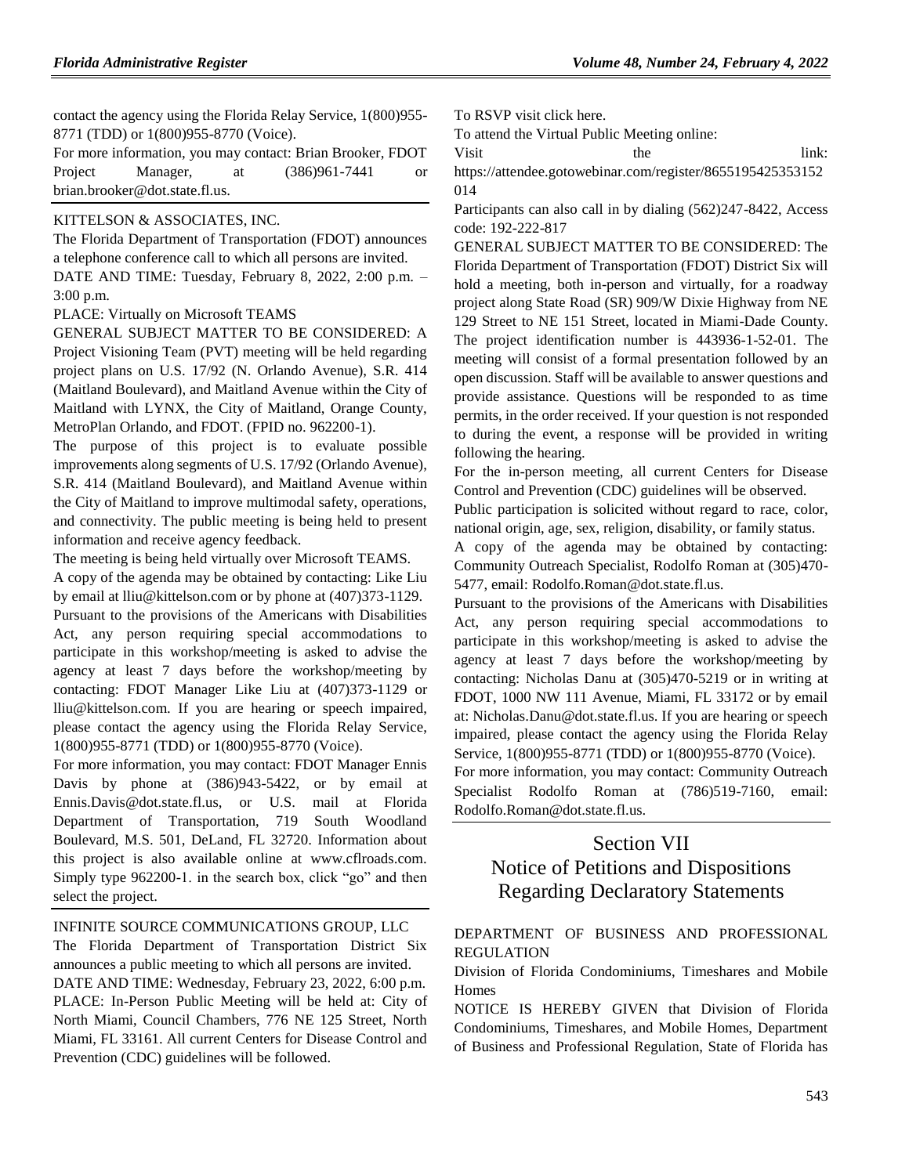contact the agency using the Florida Relay Service, 1(800)955- 8771 (TDD) or 1(800)955-8770 (Voice).

For more information, you may contact: Brian Brooker, FDOT Project Manager, at  $(386)961-7441$  or brian.brooker@dot.state.fl.us.

#### [KITTELSON & ASSOCIATES, INC.](https://www.flrules.org/gateway/organization.asp?id=1009)

The Florida Department of Transportation (FDOT) announces a telephone conference call to which all persons are invited. DATE AND TIME: Tuesday, February 8, 2022, 2:00 p.m. –

3:00 p.m.

PLACE: Virtually on Microsoft TEAMS

GENERAL SUBJECT MATTER TO BE CONSIDERED: A Project Visioning Team (PVT) meeting will be held regarding project plans on U.S. 17/92 (N. Orlando Avenue), S.R. 414 (Maitland Boulevard), and Maitland Avenue within the City of Maitland with LYNX, the City of Maitland, Orange County, MetroPlan Orlando, and FDOT. (FPID no. 962200-1).

The purpose of this project is to evaluate possible improvements along segments of U.S. 17/92 (Orlando Avenue), S.R. 414 (Maitland Boulevard), and Maitland Avenue within the City of Maitland to improve multimodal safety, operations, and connectivity. The public meeting is being held to present information and receive agency feedback.

The meeting is being held virtually over Microsoft TEAMS.

A copy of the agenda may be obtained by contacting: Like Liu by email at lliu@kittelson.com or by phone at (407)373-1129. Pursuant to the provisions of the Americans with Disabilities Act, any person requiring special accommodations to participate in this workshop/meeting is asked to advise the agency at least 7 days before the workshop/meeting by contacting: FDOT Manager Like Liu at (407)373-1129 or lliu@kittelson.com. If you are hearing or speech impaired, please contact the agency using the Florida Relay Service, 1(800)955-8771 (TDD) or 1(800)955-8770 (Voice).

For more information, you may contact: FDOT Manager Ennis Davis by phone at (386)943-5422, or by email at Ennis.Davis@dot.state.fl.us, or U.S. mail at Florida Department of Transportation, 719 South Woodland Boulevard, M.S. 501, DeLand, FL 32720. Information about this project is also available online at www.cflroads.com. Simply type 962200-1. in the search box, click "go" and then select the project.

[INFINITE SOURCE COMMUNICATIONS GROUP, LLC](https://www.flrules.org/gateway/organization.asp?id=1035)

The Florida Department of Transportation District Six announces a public meeting to which all persons are invited. DATE AND TIME: Wednesday, February 23, 2022, 6:00 p.m. PLACE: In-Person Public Meeting will be held at: City of North Miami, Council Chambers, 776 NE 125 Street, North Miami, FL 33161. All current Centers for Disease Control and Prevention (CDC) guidelines will be followed.

To RSVP visit click here.

To attend the Virtual Public Meeting online:

Visit the link:

https://attendee.gotowebinar.com/register/8655195425353152 014

Participants can also call in by dialing (562)247-8422, Access code: 192-222-817

GENERAL SUBJECT MATTER TO BE CONSIDERED: The Florida Department of Transportation (FDOT) District Six will hold a meeting, both in-person and virtually, for a roadway project along State Road (SR) 909/W Dixie Highway from NE 129 Street to NE 151 Street, located in Miami-Dade County. The project identification number is 443936-1-52-01. The meeting will consist of a formal presentation followed by an open discussion. Staff will be available to answer questions and provide assistance. Questions will be responded to as time permits, in the order received. If your question is not responded to during the event, a response will be provided in writing following the hearing.

For the in-person meeting, all current Centers for Disease Control and Prevention (CDC) guidelines will be observed.

Public participation is solicited without regard to race, color, national origin, age, sex, religion, disability, or family status.

A copy of the agenda may be obtained by contacting: Community Outreach Specialist, Rodolfo Roman at (305)470- 5477, email: Rodolfo.Roman@dot.state.fl.us.

Pursuant to the provisions of the Americans with Disabilities Act, any person requiring special accommodations to participate in this workshop/meeting is asked to advise the agency at least 7 days before the workshop/meeting by contacting: Nicholas Danu at (305)470-5219 or in writing at FDOT, 1000 NW 111 Avenue, Miami, FL 33172 or by email at: Nicholas.Danu@dot.state.fl.us. If you are hearing or speech impaired, please contact the agency using the Florida Relay Service, 1(800)955-8771 (TDD) or 1(800)955-8770 (Voice).

For more information, you may contact: Community Outreach Specialist Rodolfo Roman at (786)519-7160, email: Rodolfo.Roman@dot.state.fl.us.

# Section VII Notice of Petitions and Dispositions Regarding Declaratory Statements

## [DEPARTMENT OF BUSINESS AND PROFESSIONAL](https://www.flrules.org/gateway/department.asp?id=61)  [REGULATION](https://www.flrules.org/gateway/department.asp?id=61)

[Division of Florida Condominiums, Timeshares and Mobile](https://www.flrules.org/gateway/organization.asp?id=248)  **[Homes](https://www.flrules.org/gateway/organization.asp?id=248)** 

NOTICE IS HEREBY GIVEN that Division of Florida Condominiums, Timeshares, and Mobile Homes, Department of Business and Professional Regulation, State of Florida has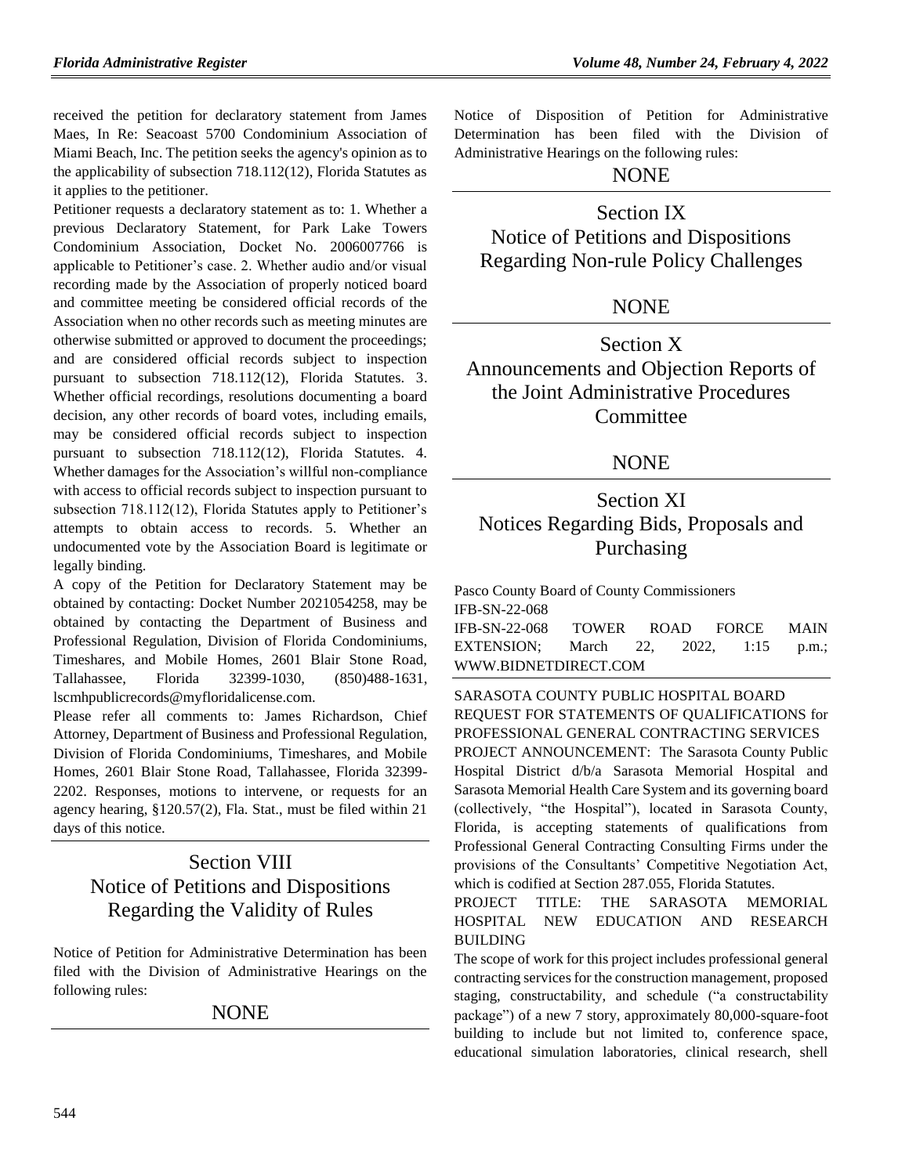received the petition for declaratory statement from James Maes, In Re: Seacoast 5700 Condominium Association of Miami Beach, Inc. The petition seeks the agency's opinion as to the applicability of subsection 718.112(12), Florida Statutes as it applies to the petitioner.

Petitioner requests a declaratory statement as to: 1. Whether a previous Declaratory Statement, for Park Lake Towers Condominium Association, Docket No. 2006007766 is applicable to Petitioner's case. 2. Whether audio and/or visual recording made by the Association of properly noticed board and committee meeting be considered official records of the Association when no other records such as meeting minutes are otherwise submitted or approved to document the proceedings; and are considered official records subject to inspection pursuant to subsection 718.112(12), Florida Statutes. 3. Whether official recordings, resolutions documenting a board decision, any other records of board votes, including emails, may be considered official records subject to inspection pursuant to subsection 718.112(12), Florida Statutes. 4. Whether damages for the Association's willful non-compliance with access to official records subject to inspection pursuant to subsection 718.112(12), Florida Statutes apply to Petitioner's attempts to obtain access to records. 5. Whether an undocumented vote by the Association Board is legitimate or legally binding.

A copy of the Petition for Declaratory Statement may be obtained by contacting: Docket Number 2021054258, may be obtained by contacting the Department of Business and Professional Regulation, Division of Florida Condominiums, Timeshares, and Mobile Homes, 2601 Blair Stone Road, Tallahassee, Florida 32399-1030, (850)488-1631, lscmhpublicrecords@myfloridalicense.com.

Please refer all comments to: James Richardson, Chief Attorney, Department of Business and Professional Regulation, Division of Florida Condominiums, Timeshares, and Mobile Homes, 2601 Blair Stone Road, Tallahassee, Florida 32399- 2202. Responses, motions to intervene, or requests for an agency hearing, §120.57(2), Fla. Stat., must be filed within 21 days of this notice.

# Section VIII Notice of Petitions and Dispositions Regarding the Validity of Rules

Notice of Petition for Administrative Determination has been filed with the Division of Administrative Hearings on the following rules:

## **NONE**

Notice of Disposition of Petition for Administrative Determination has been filed with the Division of Administrative Hearings on the following rules:

## NONE

# Section IX Notice of Petitions and Dispositions Regarding Non-rule Policy Challenges

## NONE

Section X Announcements and Objection Reports of the Joint Administrative Procedures **Committee** 

## NONE

# Section XI Notices Regarding Bids, Proposals and Purchasing

[Pasco County Board of County Commissioners](https://www.flrules.org/gateway/organization.asp?id=1352) IFB-SN-22-068 IFB-SN-22-068 TOWER ROAD FORCE MAIN EXTENSION; March 22, 2022, 1:15 p.m.; [WWW.BIDNETDIRECT.COM](http://www.bidnetdirect.com/)

[SARASOTA COUNTY PUBLIC HOSPITAL BOARD](https://www.flrules.org/gateway/organization.asp?id=1112) REQUEST FOR STATEMENTS OF QUALIFICATIONS for PROFESSIONAL GENERAL CONTRACTING SERVICES PROJECT ANNOUNCEMENT: The Sarasota County Public Hospital District d/b/a Sarasota Memorial Hospital and Sarasota Memorial Health Care System and its governing board (collectively, "the Hospital"), located in Sarasota County, Florida, is accepting statements of qualifications from Professional General Contracting Consulting Firms under the provisions of the Consultants' Competitive Negotiation Act, which is codified at Section 287.055, Florida Statutes.

## PROJECT TITLE: THE SARASOTA MEMORIAL HOSPITAL NEW EDUCATION AND RESEARCH BUILDING

The scope of work for this project includes professional general contracting services for the construction management, proposed staging, constructability, and schedule ("a constructability package") of a new 7 story, approximately 80,000-square-foot building to include but not limited to, conference space, educational simulation laboratories, clinical research, shell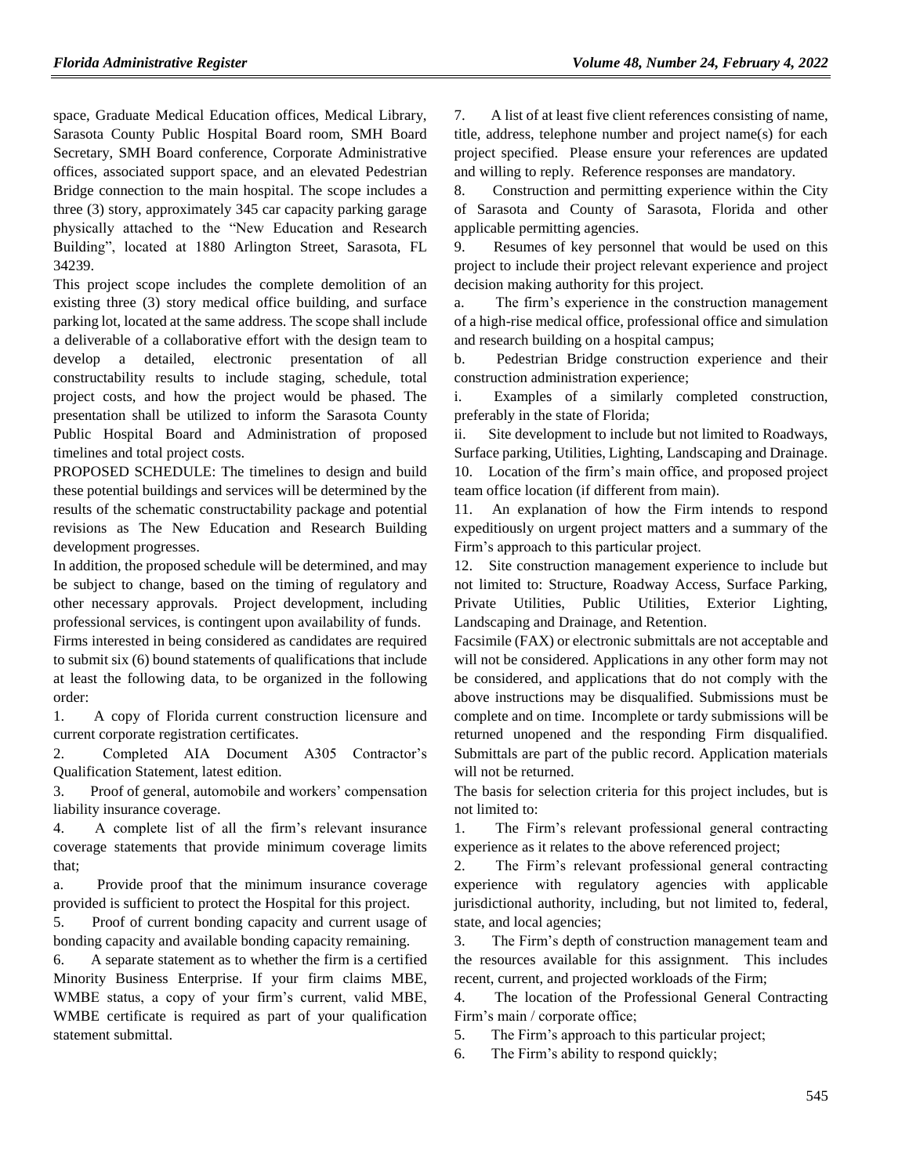space, Graduate Medical Education offices, Medical Library, Sarasota County Public Hospital Board room, SMH Board Secretary, SMH Board conference, Corporate Administrative offices, associated support space, and an elevated Pedestrian Bridge connection to the main hospital. The scope includes a three (3) story, approximately 345 car capacity parking garage physically attached to the "New Education and Research Building", located at 1880 Arlington Street, Sarasota, FL 34239.

This project scope includes the complete demolition of an existing three (3) story medical office building, and surface parking lot, located at the same address. The scope shall include a deliverable of a collaborative effort with the design team to develop a detailed, electronic presentation of all constructability results to include staging, schedule, total project costs, and how the project would be phased. The presentation shall be utilized to inform the Sarasota County Public Hospital Board and Administration of proposed timelines and total project costs.

PROPOSED SCHEDULE: The timelines to design and build these potential buildings and services will be determined by the results of the schematic constructability package and potential revisions as The New Education and Research Building development progresses.

In addition, the proposed schedule will be determined, and may be subject to change, based on the timing of regulatory and other necessary approvals. Project development, including professional services, is contingent upon availability of funds.

Firms interested in being considered as candidates are required to submit six (6) bound statements of qualifications that include at least the following data, to be organized in the following order:

1. A copy of Florida current construction licensure and current corporate registration certificates.

2. Completed AIA Document A305 Contractor's Qualification Statement, latest edition.

3. Proof of general, automobile and workers' compensation liability insurance coverage.

4. A complete list of all the firm's relevant insurance coverage statements that provide minimum coverage limits that;

a. Provide proof that the minimum insurance coverage provided is sufficient to protect the Hospital for this project.

5. Proof of current bonding capacity and current usage of bonding capacity and available bonding capacity remaining.

6. A separate statement as to whether the firm is a certified Minority Business Enterprise. If your firm claims MBE, WMBE status, a copy of your firm's current, valid MBE, WMBE certificate is required as part of your qualification statement submittal.

7. A list of at least five client references consisting of name, title, address, telephone number and project name(s) for each project specified. Please ensure your references are updated and willing to reply. Reference responses are mandatory.

8. Construction and permitting experience within the City of Sarasota and County of Sarasota, Florida and other applicable permitting agencies.

9. Resumes of key personnel that would be used on this project to include their project relevant experience and project decision making authority for this project.

a. The firm's experience in the construction management of a high-rise medical office, professional office and simulation and research building on a hospital campus;

b. Pedestrian Bridge construction experience and their construction administration experience;

i. Examples of a similarly completed construction, preferably in the state of Florida;

ii. Site development to include but not limited to Roadways, Surface parking, Utilities, Lighting, Landscaping and Drainage.

10. Location of the firm's main office, and proposed project team office location (if different from main).

11. An explanation of how the Firm intends to respond expeditiously on urgent project matters and a summary of the Firm's approach to this particular project.

12. Site construction management experience to include but not limited to: Structure, Roadway Access, Surface Parking, Private Utilities, Public Utilities, Exterior Lighting, Landscaping and Drainage, and Retention.

Facsimile (FAX) or electronic submittals are not acceptable and will not be considered. Applications in any other form may not be considered, and applications that do not comply with the above instructions may be disqualified. Submissions must be complete and on time. Incomplete or tardy submissions will be returned unopened and the responding Firm disqualified. Submittals are part of the public record. Application materials will not be returned.

The basis for selection criteria for this project includes, but is not limited to:

1. The Firm's relevant professional general contracting experience as it relates to the above referenced project;

2. The Firm's relevant professional general contracting experience with regulatory agencies with applicable jurisdictional authority, including, but not limited to, federal, state, and local agencies;

3. The Firm's depth of construction management team and the resources available for this assignment. This includes recent, current, and projected workloads of the Firm;

4. The location of the Professional General Contracting Firm's main / corporate office;

5. The Firm's approach to this particular project;

6. The Firm's ability to respond quickly;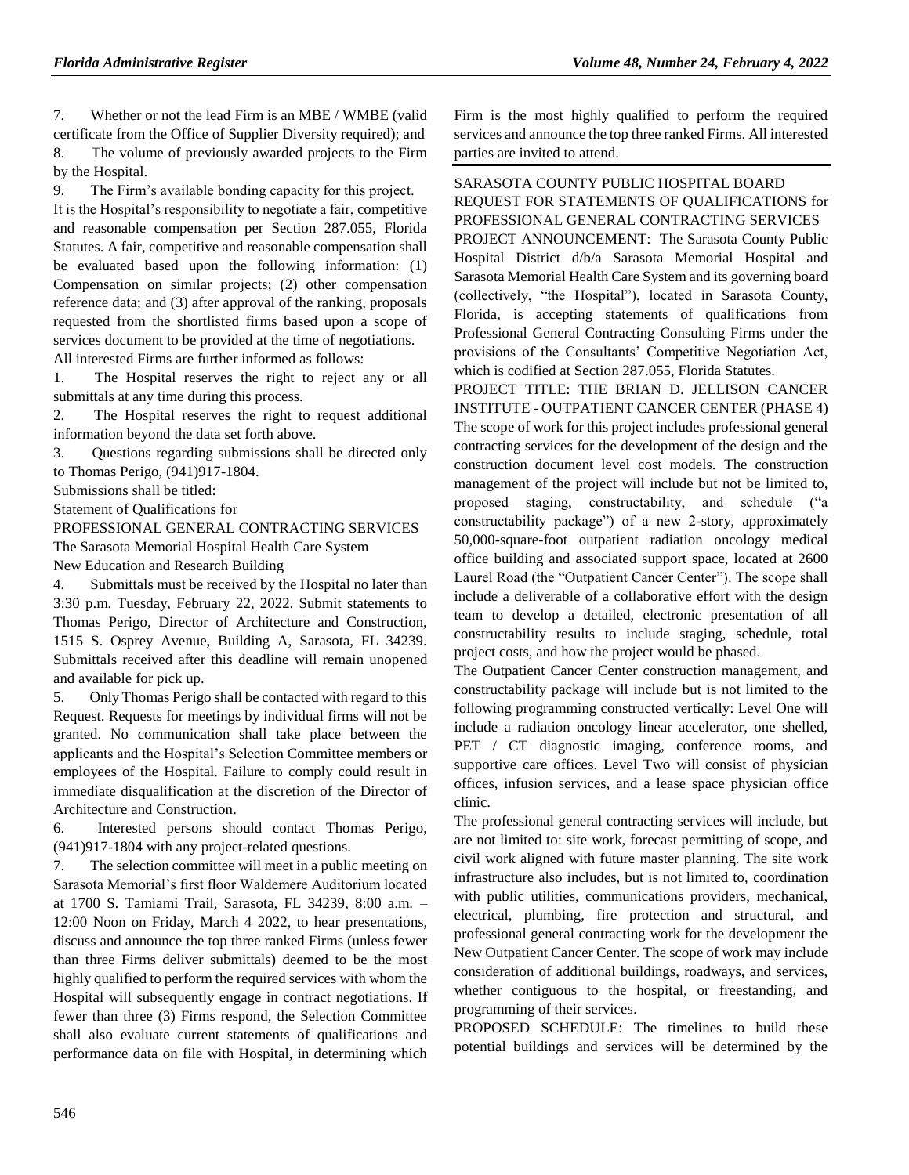7. Whether or not the lead Firm is an MBE / WMBE (valid certificate from the Office of Supplier Diversity required); and 8. The volume of previously awarded projects to the Firm by the Hospital.

9. The Firm's available bonding capacity for this project. It is the Hospital's responsibility to negotiate a fair, competitive and reasonable compensation per Section 287.055, Florida Statutes. A fair, competitive and reasonable compensation shall be evaluated based upon the following information: (1) Compensation on similar projects; (2) other compensation reference data; and (3) after approval of the ranking, proposals requested from the shortlisted firms based upon a scope of services document to be provided at the time of negotiations. All interested Firms are further informed as follows:

1. The Hospital reserves the right to reject any or all submittals at any time during this process.

2. The Hospital reserves the right to request additional information beyond the data set forth above.

3. Questions regarding submissions shall be directed only to Thomas Perigo, (941)917-1804.

Submissions shall be titled:

Statement of Qualifications for

PROFESSIONAL GENERAL CONTRACTING SERVICES The Sarasota Memorial Hospital Health Care System New Education and Research Building

4. Submittals must be received by the Hospital no later than 3:30 p.m. Tuesday, February 22, 2022. Submit statements to Thomas Perigo, Director of Architecture and Construction, 1515 S. Osprey Avenue, Building A, Sarasota, FL 34239. Submittals received after this deadline will remain unopened and available for pick up.

5. Only Thomas Perigo shall be contacted with regard to this Request. Requests for meetings by individual firms will not be granted. No communication shall take place between the applicants and the Hospital's Selection Committee members or employees of the Hospital. Failure to comply could result in immediate disqualification at the discretion of the Director of Architecture and Construction.

6. Interested persons should contact Thomas Perigo, (941)917-1804 with any project-related questions.

7. The selection committee will meet in a public meeting on Sarasota Memorial's first floor Waldemere Auditorium located at 1700 S. Tamiami Trail, Sarasota, FL 34239, 8:00 a.m. – 12:00 Noon on Friday, March 4 2022, to hear presentations, discuss and announce the top three ranked Firms (unless fewer than three Firms deliver submittals) deemed to be the most highly qualified to perform the required services with whom the Hospital will subsequently engage in contract negotiations. If fewer than three (3) Firms respond, the Selection Committee shall also evaluate current statements of qualifications and performance data on file with Hospital, in determining which

Firm is the most highly qualified to perform the required services and announce the top three ranked Firms. All interested parties are invited to attend.

[SARASOTA COUNTY PUBLIC HOSPITAL BOARD](https://www.flrules.org/gateway/organization.asp?id=1112) REQUEST FOR STATEMENTS OF QUALIFICATIONS for PROFESSIONAL GENERAL CONTRACTING SERVICES PROJECT ANNOUNCEMENT: The Sarasota County Public Hospital District d/b/a Sarasota Memorial Hospital and Sarasota Memorial Health Care System and its governing board (collectively, "the Hospital"), located in Sarasota County, Florida, is accepting statements of qualifications from Professional General Contracting Consulting Firms under the provisions of the Consultants' Competitive Negotiation Act, which is codified at Section 287.055, Florida Statutes.

PROJECT TITLE: THE BRIAN D. JELLISON CANCER INSTITUTE - OUTPATIENT CANCER CENTER (PHASE 4) The scope of work for this project includes professional general contracting services for the development of the design and the construction document level cost models. The construction management of the project will include but not be limited to, proposed staging, constructability, and schedule ("a constructability package") of a new 2-story, approximately 50,000-square-foot outpatient radiation oncology medical office building and associated support space, located at 2600 Laurel Road (the "Outpatient Cancer Center"). The scope shall include a deliverable of a collaborative effort with the design team to develop a detailed, electronic presentation of all constructability results to include staging, schedule, total project costs, and how the project would be phased.

The Outpatient Cancer Center construction management, and constructability package will include but is not limited to the following programming constructed vertically: Level One will include a radiation oncology linear accelerator, one shelled, PET / CT diagnostic imaging, conference rooms, and supportive care offices. Level Two will consist of physician offices, infusion services, and a lease space physician office clinic.

The professional general contracting services will include, but are not limited to: site work, forecast permitting of scope, and civil work aligned with future master planning. The site work infrastructure also includes, but is not limited to, coordination with public utilities, communications providers, mechanical, electrical, plumbing, fire protection and structural, and professional general contracting work for the development the New Outpatient Cancer Center. The scope of work may include consideration of additional buildings, roadways, and services, whether contiguous to the hospital, or freestanding, and programming of their services.

PROPOSED SCHEDULE: The timelines to build these potential buildings and services will be determined by the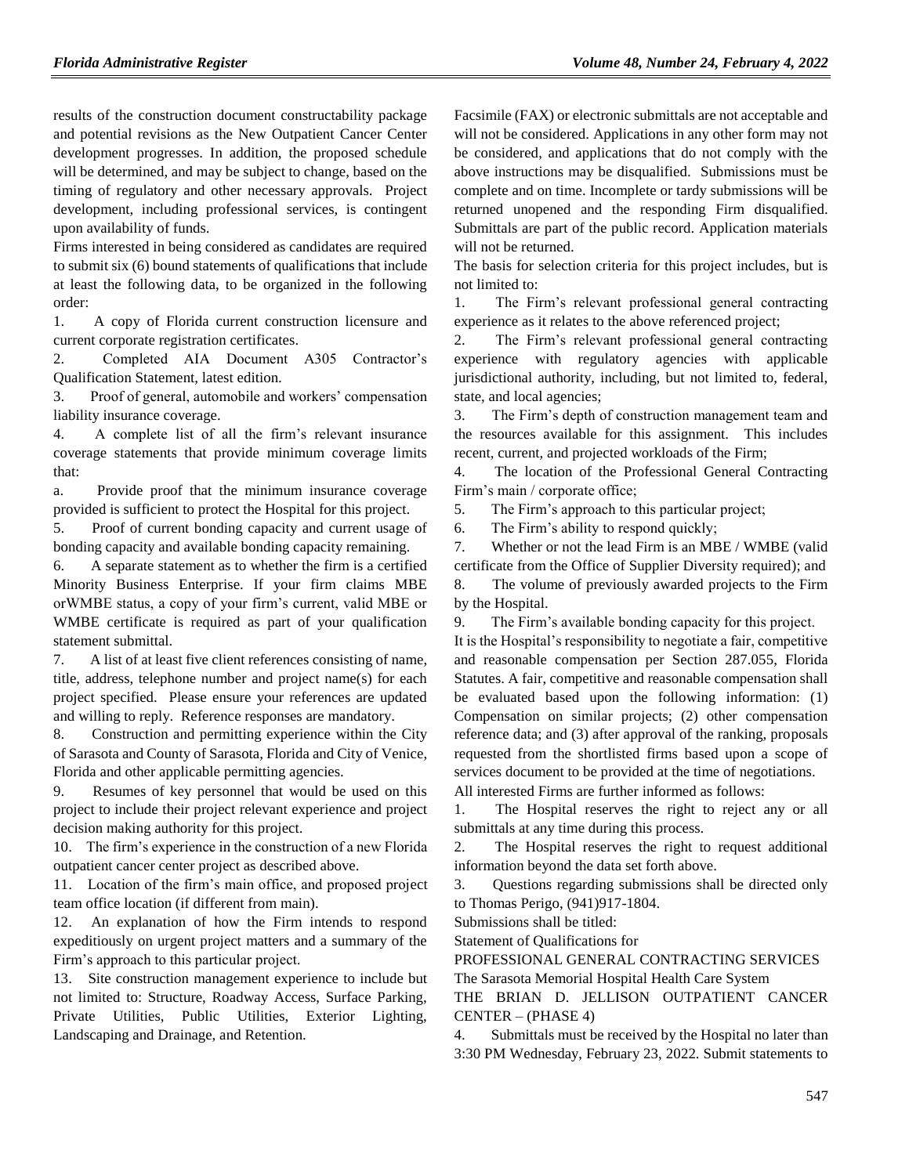results of the construction document constructability package and potential revisions as the New Outpatient Cancer Center development progresses. In addition, the proposed schedule will be determined, and may be subject to change, based on the timing of regulatory and other necessary approvals. Project development, including professional services, is contingent upon availability of funds.

Firms interested in being considered as candidates are required to submit six (6) bound statements of qualifications that include at least the following data, to be organized in the following order:

1. A copy of Florida current construction licensure and current corporate registration certificates.

2. Completed AIA Document A305 Contractor's Qualification Statement, latest edition.

3. Proof of general, automobile and workers' compensation liability insurance coverage.

4. A complete list of all the firm's relevant insurance coverage statements that provide minimum coverage limits that:

a. Provide proof that the minimum insurance coverage provided is sufficient to protect the Hospital for this project.

5. Proof of current bonding capacity and current usage of bonding capacity and available bonding capacity remaining.

6. A separate statement as to whether the firm is a certified Minority Business Enterprise. If your firm claims MBE orWMBE status, a copy of your firm's current, valid MBE or WMBE certificate is required as part of your qualification statement submittal.

7. A list of at least five client references consisting of name, title, address, telephone number and project name(s) for each project specified. Please ensure your references are updated and willing to reply. Reference responses are mandatory.

8. Construction and permitting experience within the City of Sarasota and County of Sarasota, Florida and City of Venice, Florida and other applicable permitting agencies.

9. Resumes of key personnel that would be used on this project to include their project relevant experience and project decision making authority for this project.

10. The firm's experience in the construction of a new Florida outpatient cancer center project as described above.

11. Location of the firm's main office, and proposed project team office location (if different from main).

12. An explanation of how the Firm intends to respond expeditiously on urgent project matters and a summary of the Firm's approach to this particular project.

13. Site construction management experience to include but not limited to: Structure, Roadway Access, Surface Parking, Private Utilities, Public Utilities, Exterior Lighting, Landscaping and Drainage, and Retention.

Facsimile (FAX) or electronic submittals are not acceptable and will not be considered. Applications in any other form may not be considered, and applications that do not comply with the above instructions may be disqualified. Submissions must be complete and on time. Incomplete or tardy submissions will be returned unopened and the responding Firm disqualified. Submittals are part of the public record. Application materials will not be returned.

The basis for selection criteria for this project includes, but is not limited to:

1. The Firm's relevant professional general contracting experience as it relates to the above referenced project;

2. The Firm's relevant professional general contracting experience with regulatory agencies with applicable jurisdictional authority, including, but not limited to, federal, state, and local agencies;

3. The Firm's depth of construction management team and the resources available for this assignment. This includes recent, current, and projected workloads of the Firm;

4. The location of the Professional General Contracting Firm's main / corporate office;

5. The Firm's approach to this particular project;

6. The Firm's ability to respond quickly;

7. Whether or not the lead Firm is an MBE / WMBE (valid certificate from the Office of Supplier Diversity required); and 8. The volume of previously awarded projects to the Firm by the Hospital.

9. The Firm's available bonding capacity for this project. It is the Hospital's responsibility to negotiate a fair, competitive and reasonable compensation per Section 287.055, Florida Statutes. A fair, competitive and reasonable compensation shall be evaluated based upon the following information: (1) Compensation on similar projects; (2) other compensation reference data; and (3) after approval of the ranking, proposals requested from the shortlisted firms based upon a scope of services document to be provided at the time of negotiations.

All interested Firms are further informed as follows:

1. The Hospital reserves the right to reject any or all submittals at any time during this process.

2. The Hospital reserves the right to request additional information beyond the data set forth above.

3. Questions regarding submissions shall be directed only to Thomas Perigo, (941)917-1804.

Submissions shall be titled:

Statement of Qualifications for

PROFESSIONAL GENERAL CONTRACTING SERVICES The Sarasota Memorial Hospital Health Care System

THE BRIAN D. JELLISON OUTPATIENT CANCER CENTER – (PHASE 4)

4. Submittals must be received by the Hospital no later than 3:30 PM Wednesday, February 23, 2022. Submit statements to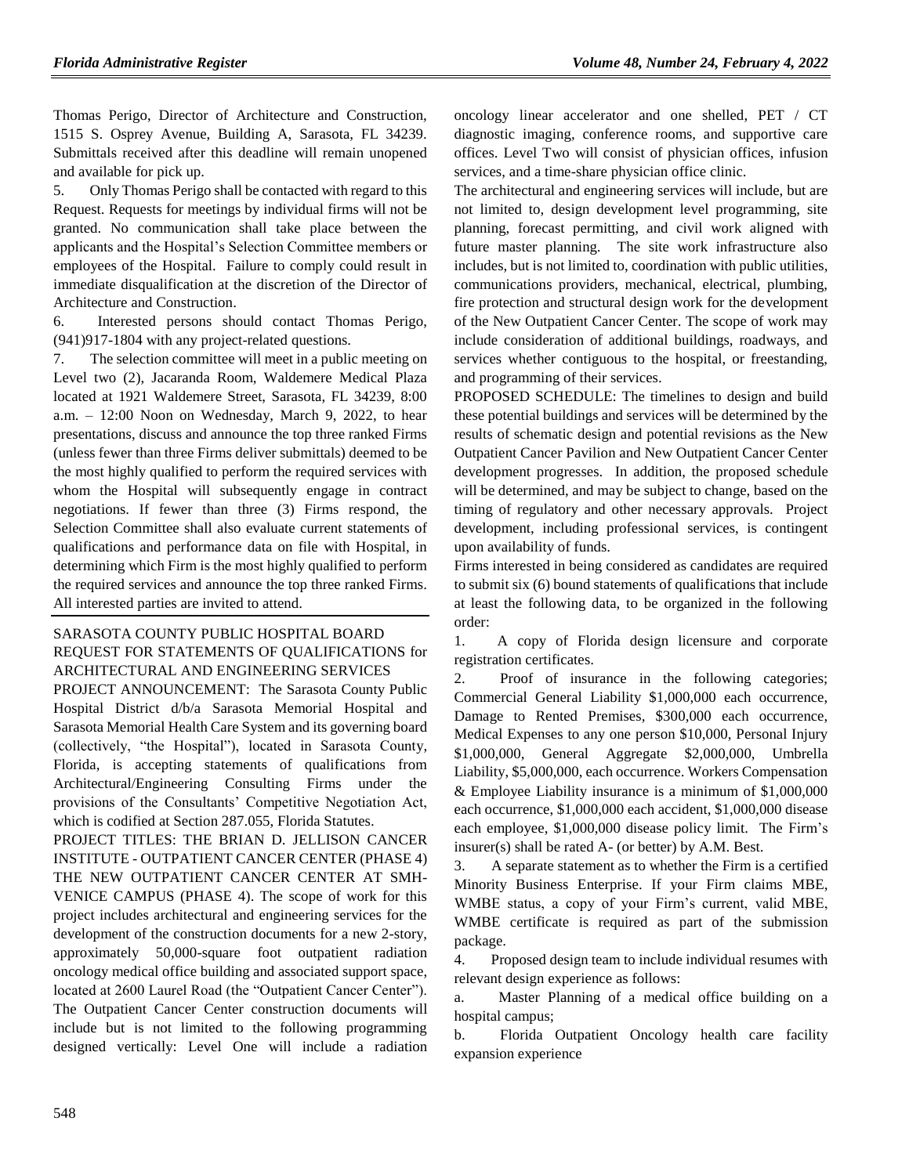Thomas Perigo, Director of Architecture and Construction, 1515 S. Osprey Avenue, Building A, Sarasota, FL 34239. Submittals received after this deadline will remain unopened and available for pick up.

5. Only Thomas Perigo shall be contacted with regard to this Request. Requests for meetings by individual firms will not be granted. No communication shall take place between the applicants and the Hospital's Selection Committee members or employees of the Hospital. Failure to comply could result in immediate disqualification at the discretion of the Director of Architecture and Construction.

6. Interested persons should contact Thomas Perigo, (941)917-1804 with any project-related questions.

7. The selection committee will meet in a public meeting on Level two (2), Jacaranda Room, Waldemere Medical Plaza located at 1921 Waldemere Street, Sarasota, FL 34239, 8:00 a.m.  $-12:00$  Noon on Wednesday, March 9, 2022, to hear presentations, discuss and announce the top three ranked Firms (unless fewer than three Firms deliver submittals) deemed to be the most highly qualified to perform the required services with whom the Hospital will subsequently engage in contract negotiations. If fewer than three (3) Firms respond, the Selection Committee shall also evaluate current statements of qualifications and performance data on file with Hospital, in determining which Firm is the most highly qualified to perform the required services and announce the top three ranked Firms. All interested parties are invited to attend.

## [SARASOTA COUNTY PUBLIC HOSPITAL BOARD](https://www.flrules.org/gateway/organization.asp?id=1112) REQUEST FOR STATEMENTS OF QUALIFICATIONS for ARCHITECTURAL AND ENGINEERING SERVICES

PROJECT ANNOUNCEMENT: The Sarasota County Public Hospital District d/b/a Sarasota Memorial Hospital and Sarasota Memorial Health Care System and its governing board (collectively, "the Hospital"), located in Sarasota County, Florida, is accepting statements of qualifications from Architectural/Engineering Consulting Firms under the provisions of the Consultants' Competitive Negotiation Act, which is codified at Section 287.055, Florida Statutes.

PROJECT TITLES: THE BRIAN D. JELLISON CANCER INSTITUTE - OUTPATIENT CANCER CENTER (PHASE 4) THE NEW OUTPATIENT CANCER CENTER AT SMH-VENICE CAMPUS (PHASE 4). The scope of work for this project includes architectural and engineering services for the development of the construction documents for a new 2-story, approximately 50,000-square foot outpatient radiation oncology medical office building and associated support space, located at 2600 Laurel Road (the "Outpatient Cancer Center"). The Outpatient Cancer Center construction documents will include but is not limited to the following programming designed vertically: Level One will include a radiation oncology linear accelerator and one shelled, PET / CT diagnostic imaging, conference rooms, and supportive care offices. Level Two will consist of physician offices, infusion services, and a time-share physician office clinic.

The architectural and engineering services will include, but are not limited to, design development level programming, site planning, forecast permitting, and civil work aligned with future master planning. The site work infrastructure also includes, but is not limited to, coordination with public utilities, communications providers, mechanical, electrical, plumbing, fire protection and structural design work for the development of the New Outpatient Cancer Center. The scope of work may include consideration of additional buildings, roadways, and services whether contiguous to the hospital, or freestanding, and programming of their services.

PROPOSED SCHEDULE: The timelines to design and build these potential buildings and services will be determined by the results of schematic design and potential revisions as the New Outpatient Cancer Pavilion and New Outpatient Cancer Center development progresses. In addition, the proposed schedule will be determined, and may be subject to change, based on the timing of regulatory and other necessary approvals. Project development, including professional services, is contingent upon availability of funds.

Firms interested in being considered as candidates are required to submit six (6) bound statements of qualifications that include at least the following data, to be organized in the following order:

1. A copy of Florida design licensure and corporate registration certificates.

2. Proof of insurance in the following categories; Commercial General Liability \$1,000,000 each occurrence, Damage to Rented Premises, \$300,000 each occurrence, Medical Expenses to any one person \$10,000, Personal Injury \$1,000,000, General Aggregate \$2,000,000, Umbrella Liability, \$5,000,000, each occurrence. Workers Compensation & Employee Liability insurance is a minimum of \$1,000,000 each occurrence, \$1,000,000 each accident, \$1,000,000 disease each employee, \$1,000,000 disease policy limit. The Firm's insurer(s) shall be rated A- (or better) by A.M. Best.

3. A separate statement as to whether the Firm is a certified Minority Business Enterprise. If your Firm claims MBE, WMBE status, a copy of your Firm's current, valid MBE, WMBE certificate is required as part of the submission package.

4. Proposed design team to include individual resumes with relevant design experience as follows:

a. Master Planning of a medical office building on a hospital campus;

b. Florida Outpatient Oncology health care facility expansion experience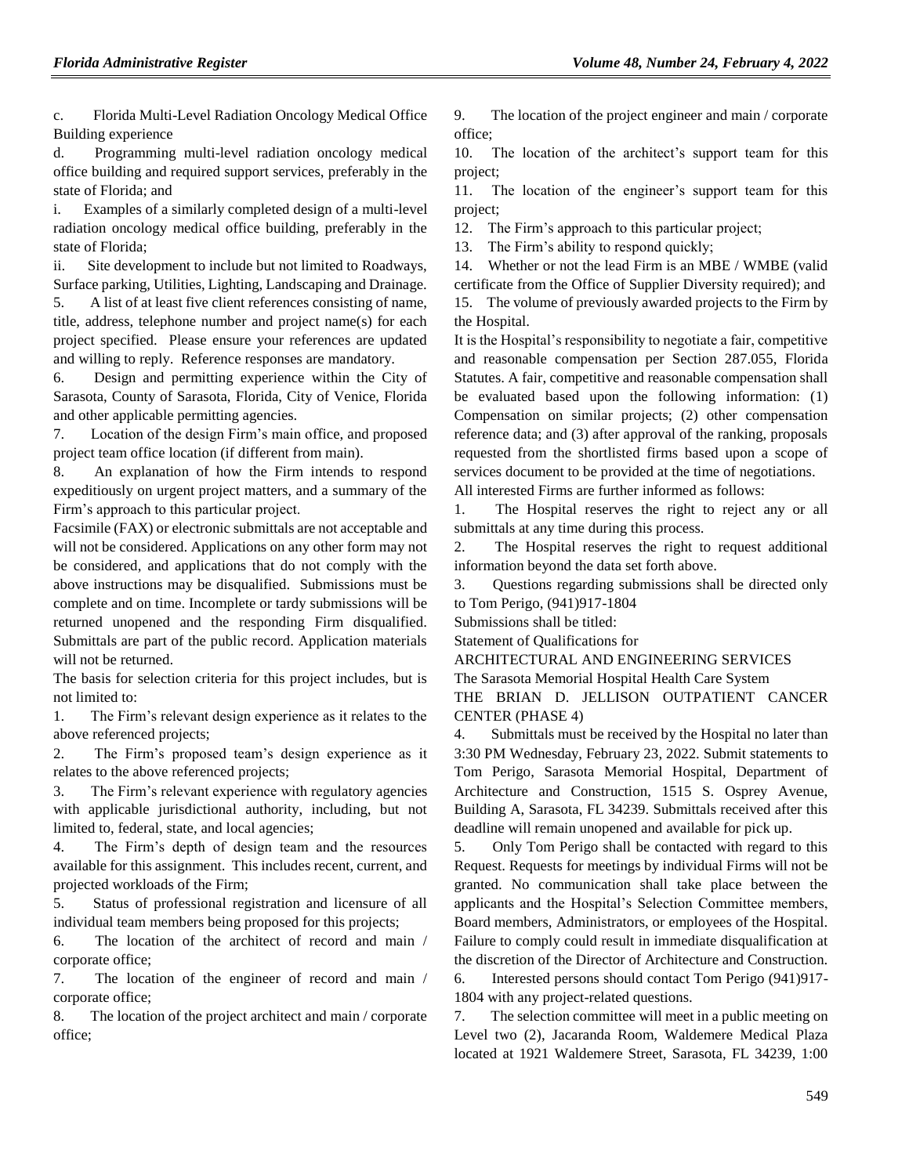c. Florida Multi-Level Radiation Oncology Medical Office Building experience

d. Programming multi-level radiation oncology medical office building and required support services, preferably in the state of Florida; and

i. Examples of a similarly completed design of a multi-level radiation oncology medical office building, preferably in the state of Florida;

ii. Site development to include but not limited to Roadways, Surface parking, Utilities, Lighting, Landscaping and Drainage.

5. A list of at least five client references consisting of name, title, address, telephone number and project name(s) for each project specified. Please ensure your references are updated and willing to reply. Reference responses are mandatory.

6. Design and permitting experience within the City of Sarasota, County of Sarasota, Florida, City of Venice, Florida and other applicable permitting agencies.

7. Location of the design Firm's main office, and proposed project team office location (if different from main).

8. An explanation of how the Firm intends to respond expeditiously on urgent project matters, and a summary of the Firm's approach to this particular project.

Facsimile (FAX) or electronic submittals are not acceptable and will not be considered. Applications on any other form may not be considered, and applications that do not comply with the above instructions may be disqualified. Submissions must be complete and on time. Incomplete or tardy submissions will be returned unopened and the responding Firm disqualified. Submittals are part of the public record. Application materials will not be returned.

The basis for selection criteria for this project includes, but is not limited to:

1. The Firm's relevant design experience as it relates to the above referenced projects;

2. The Firm's proposed team's design experience as it relates to the above referenced projects;

3. The Firm's relevant experience with regulatory agencies with applicable jurisdictional authority, including, but not limited to, federal, state, and local agencies;

4. The Firm's depth of design team and the resources available for this assignment. This includes recent, current, and projected workloads of the Firm;

5. Status of professional registration and licensure of all individual team members being proposed for this projects;

6. The location of the architect of record and main / corporate office;

7. The location of the engineer of record and main / corporate office;

8. The location of the project architect and main / corporate office;

9. The location of the project engineer and main / corporate office;

10. The location of the architect's support team for this project;

11. The location of the engineer's support team for this project;

12. The Firm's approach to this particular project;

13. The Firm's ability to respond quickly;

14. Whether or not the lead Firm is an MBE / WMBE (valid certificate from the Office of Supplier Diversity required); and 15. The volume of previously awarded projects to the Firm by the Hospital.

It is the Hospital's responsibility to negotiate a fair, competitive and reasonable compensation per Section 287.055, Florida Statutes. A fair, competitive and reasonable compensation shall be evaluated based upon the following information: (1) Compensation on similar projects; (2) other compensation reference data; and (3) after approval of the ranking, proposals requested from the shortlisted firms based upon a scope of services document to be provided at the time of negotiations. All interested Firms are further informed as follows:

1. The Hospital reserves the right to reject any or all submittals at any time during this process.

2. The Hospital reserves the right to request additional information beyond the data set forth above.

3. Questions regarding submissions shall be directed only to Tom Perigo, (941)917-1804

Submissions shall be titled:

Statement of Qualifications for

ARCHITECTURAL AND ENGINEERING SERVICES

The Sarasota Memorial Hospital Health Care System

THE BRIAN D. JELLISON OUTPATIENT CANCER CENTER (PHASE 4)

4. Submittals must be received by the Hospital no later than 3:30 PM Wednesday, February 23, 2022. Submit statements to Tom Perigo, Sarasota Memorial Hospital, Department of Architecture and Construction, 1515 S. Osprey Avenue, Building A, Sarasota, FL 34239. Submittals received after this deadline will remain unopened and available for pick up.

5. Only Tom Perigo shall be contacted with regard to this Request. Requests for meetings by individual Firms will not be granted. No communication shall take place between the applicants and the Hospital's Selection Committee members, Board members, Administrators, or employees of the Hospital. Failure to comply could result in immediate disqualification at the discretion of the Director of Architecture and Construction. 6. Interested persons should contact Tom Perigo (941)917-

1804 with any project-related questions.

7. The selection committee will meet in a public meeting on Level two (2), Jacaranda Room, Waldemere Medical Plaza located at 1921 Waldemere Street, Sarasota, FL 34239, 1:00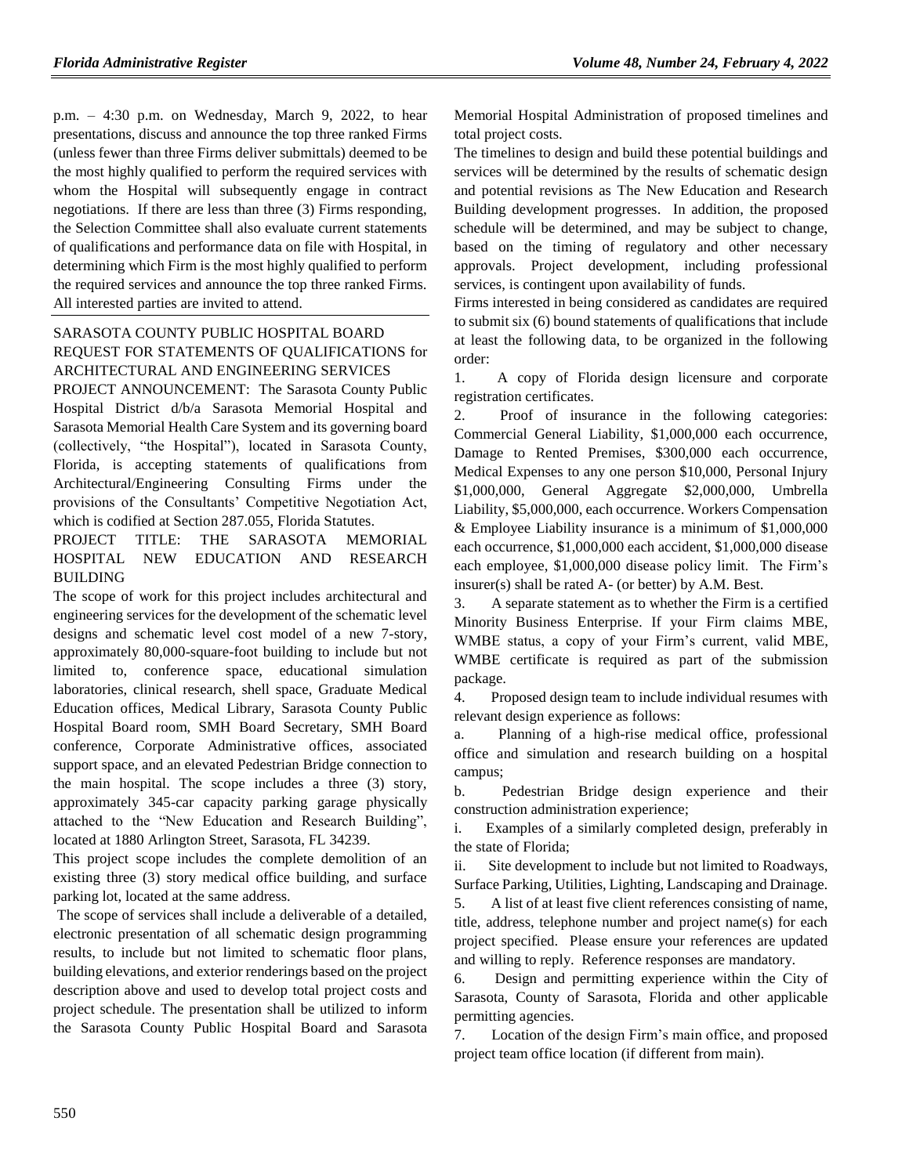p.m. – 4:30 p.m. on Wednesday, March 9, 2022, to hear presentations, discuss and announce the top three ranked Firms (unless fewer than three Firms deliver submittals) deemed to be the most highly qualified to perform the required services with whom the Hospital will subsequently engage in contract negotiations. If there are less than three (3) Firms responding, the Selection Committee shall also evaluate current statements of qualifications and performance data on file with Hospital, in determining which Firm is the most highly qualified to perform the required services and announce the top three ranked Firms. All interested parties are invited to attend.

## [SARASOTA COUNTY PUBLIC HOSPITAL BOARD](https://www.flrules.org/gateway/organization.asp?id=1112) REQUEST FOR STATEMENTS OF QUALIFICATIONS for ARCHITECTURAL AND ENGINEERING SERVICES

PROJECT ANNOUNCEMENT: The Sarasota County Public Hospital District d/b/a Sarasota Memorial Hospital and Sarasota Memorial Health Care System and its governing board (collectively, "the Hospital"), located in Sarasota County, Florida, is accepting statements of qualifications from Architectural/Engineering Consulting Firms under the provisions of the Consultants' Competitive Negotiation Act, which is codified at Section 287.055, Florida Statutes.

## PROJECT TITLE: THE SARASOTA MEMORIAL HOSPITAL NEW EDUCATION AND RESEARCH BUILDING

The scope of work for this project includes architectural and engineering services for the development of the schematic level designs and schematic level cost model of a new 7-story, approximately 80,000-square-foot building to include but not limited to, conference space, educational simulation laboratories, clinical research, shell space, Graduate Medical Education offices, Medical Library, Sarasota County Public Hospital Board room, SMH Board Secretary, SMH Board conference, Corporate Administrative offices, associated support space, and an elevated Pedestrian Bridge connection to the main hospital. The scope includes a three (3) story, approximately 345-car capacity parking garage physically attached to the "New Education and Research Building", located at 1880 Arlington Street, Sarasota, FL 34239.

This project scope includes the complete demolition of an existing three (3) story medical office building, and surface parking lot, located at the same address.

The scope of services shall include a deliverable of a detailed, electronic presentation of all schematic design programming results, to include but not limited to schematic floor plans, building elevations, and exterior renderings based on the project description above and used to develop total project costs and project schedule. The presentation shall be utilized to inform the Sarasota County Public Hospital Board and Sarasota Memorial Hospital Administration of proposed timelines and total project costs.

The timelines to design and build these potential buildings and services will be determined by the results of schematic design and potential revisions as The New Education and Research Building development progresses. In addition, the proposed schedule will be determined, and may be subject to change, based on the timing of regulatory and other necessary approvals. Project development, including professional services, is contingent upon availability of funds.

Firms interested in being considered as candidates are required to submit six (6) bound statements of qualifications that include at least the following data, to be organized in the following order:

1. A copy of Florida design licensure and corporate registration certificates.

2. Proof of insurance in the following categories: Commercial General Liability, \$1,000,000 each occurrence, Damage to Rented Premises, \$300,000 each occurrence, Medical Expenses to any one person \$10,000, Personal Injury \$1,000,000, General Aggregate \$2,000,000, Umbrella Liability, \$5,000,000, each occurrence. Workers Compensation & Employee Liability insurance is a minimum of \$1,000,000 each occurrence, \$1,000,000 each accident, \$1,000,000 disease each employee, \$1,000,000 disease policy limit. The Firm's insurer(s) shall be rated A- (or better) by A.M. Best.

3. A separate statement as to whether the Firm is a certified Minority Business Enterprise. If your Firm claims MBE, WMBE status, a copy of your Firm's current, valid MBE, WMBE certificate is required as part of the submission package.

4. Proposed design team to include individual resumes with relevant design experience as follows:

a. Planning of a high-rise medical office, professional office and simulation and research building on a hospital campus;

b. Pedestrian Bridge design experience and their construction administration experience;

i. Examples of a similarly completed design, preferably in the state of Florida;

ii. Site development to include but not limited to Roadways, Surface Parking, Utilities, Lighting, Landscaping and Drainage.

5. A list of at least five client references consisting of name, title, address, telephone number and project name(s) for each project specified. Please ensure your references are updated and willing to reply. Reference responses are mandatory.

6. Design and permitting experience within the City of Sarasota, County of Sarasota, Florida and other applicable permitting agencies.

7. Location of the design Firm's main office, and proposed project team office location (if different from main).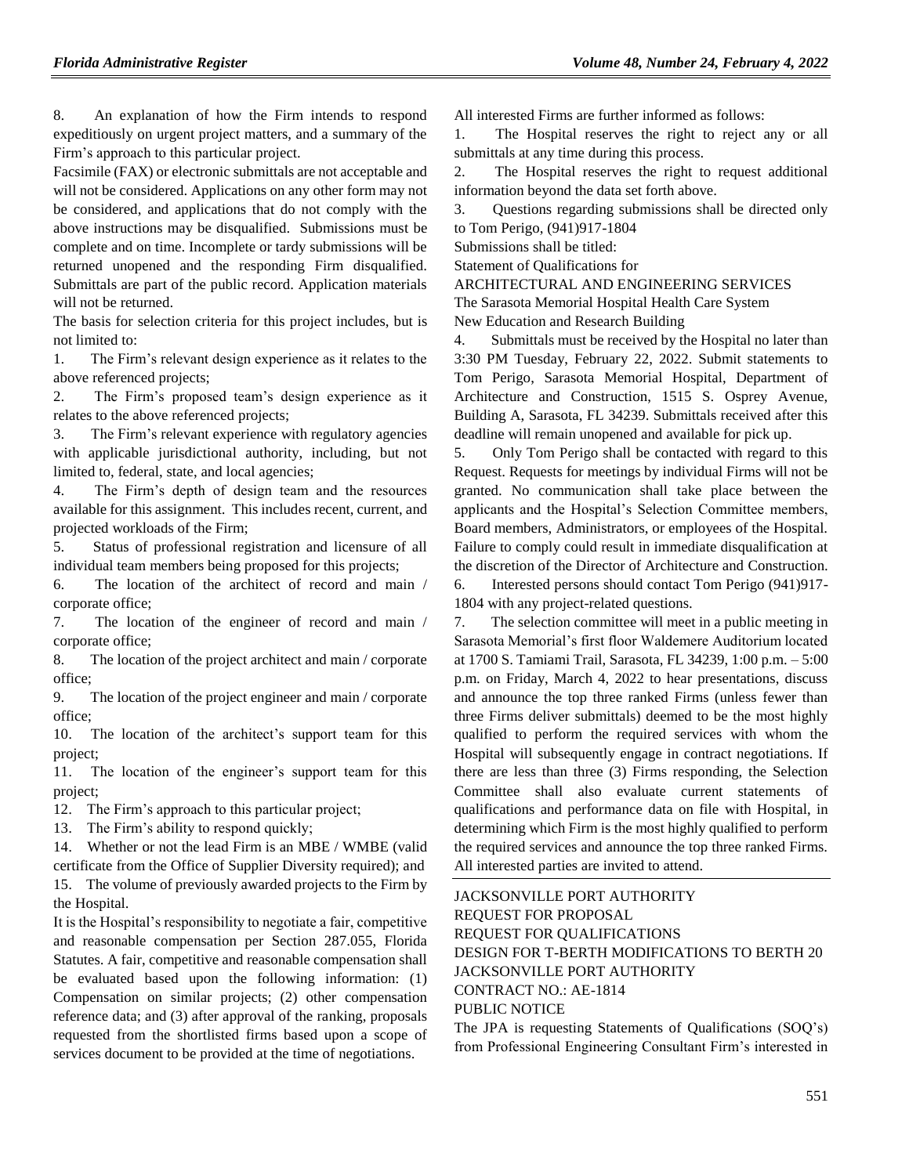8. An explanation of how the Firm intends to respond expeditiously on urgent project matters, and a summary of the Firm's approach to this particular project.

Facsimile (FAX) or electronic submittals are not acceptable and will not be considered. Applications on any other form may not be considered, and applications that do not comply with the above instructions may be disqualified. Submissions must be complete and on time. Incomplete or tardy submissions will be returned unopened and the responding Firm disqualified. Submittals are part of the public record. Application materials will not be returned.

The basis for selection criteria for this project includes, but is not limited to:

1. The Firm's relevant design experience as it relates to the above referenced projects;

2. The Firm's proposed team's design experience as it relates to the above referenced projects;

3. The Firm's relevant experience with regulatory agencies with applicable jurisdictional authority, including, but not limited to, federal, state, and local agencies;

4. The Firm's depth of design team and the resources available for this assignment. This includes recent, current, and projected workloads of the Firm;

5. Status of professional registration and licensure of all individual team members being proposed for this projects;

6. The location of the architect of record and main / corporate office;

7. The location of the engineer of record and main / corporate office;

8. The location of the project architect and main / corporate office;

9. The location of the project engineer and main / corporate office;

10. The location of the architect's support team for this project;

11. The location of the engineer's support team for this project;

12. The Firm's approach to this particular project;

13. The Firm's ability to respond quickly;

14. Whether or not the lead Firm is an MBE / WMBE (valid certificate from the Office of Supplier Diversity required); and 15. The volume of previously awarded projects to the Firm by the Hospital.

It is the Hospital's responsibility to negotiate a fair, competitive and reasonable compensation per Section 287.055, Florida Statutes. A fair, competitive and reasonable compensation shall be evaluated based upon the following information: (1) Compensation on similar projects; (2) other compensation reference data; and (3) after approval of the ranking, proposals requested from the shortlisted firms based upon a scope of services document to be provided at the time of negotiations.

All interested Firms are further informed as follows:

1. The Hospital reserves the right to reject any or all submittals at any time during this process.

2. The Hospital reserves the right to request additional information beyond the data set forth above.

3. Questions regarding submissions shall be directed only to Tom Perigo, (941)917-1804

Submissions shall be titled:

Statement of Qualifications for

ARCHITECTURAL AND ENGINEERING SERVICES

The Sarasota Memorial Hospital Health Care System

New Education and Research Building

4. Submittals must be received by the Hospital no later than 3:30 PM Tuesday, February 22, 2022. Submit statements to Tom Perigo, Sarasota Memorial Hospital, Department of Architecture and Construction, 1515 S. Osprey Avenue, Building A, Sarasota, FL 34239. Submittals received after this deadline will remain unopened and available for pick up.

5. Only Tom Perigo shall be contacted with regard to this Request. Requests for meetings by individual Firms will not be granted. No communication shall take place between the applicants and the Hospital's Selection Committee members, Board members, Administrators, or employees of the Hospital. Failure to comply could result in immediate disqualification at the discretion of the Director of Architecture and Construction.

6. Interested persons should contact Tom Perigo (941)917- 1804 with any project-related questions.

7. The selection committee will meet in a public meeting in Sarasota Memorial's first floor Waldemere Auditorium located at 1700 S. Tamiami Trail, Sarasota, FL 34239, 1:00 p.m. – 5:00 p.m. on Friday, March 4, 2022 to hear presentations, discuss and announce the top three ranked Firms (unless fewer than three Firms deliver submittals) deemed to be the most highly qualified to perform the required services with whom the Hospital will subsequently engage in contract negotiations. If there are less than three (3) Firms responding, the Selection Committee shall also evaluate current statements of qualifications and performance data on file with Hospital, in determining which Firm is the most highly qualified to perform the required services and announce the top three ranked Firms. All interested parties are invited to attend.

[JACKSONVILLE PORT AUTHORITY](https://www.flrules.org/gateway/organization.asp?id=1036) REQUEST FOR PROPOSAL REQUEST FOR QUALIFICATIONS DESIGN FOR T-BERTH MODIFICATIONS TO BERTH 20 JACKSONVILLE PORT AUTHORITY CONTRACT NO.: AE-1814 PUBLIC NOTICE The JPA is requesting Statements of Qualifications (SOQ's)

from Professional Engineering Consultant Firm's interested in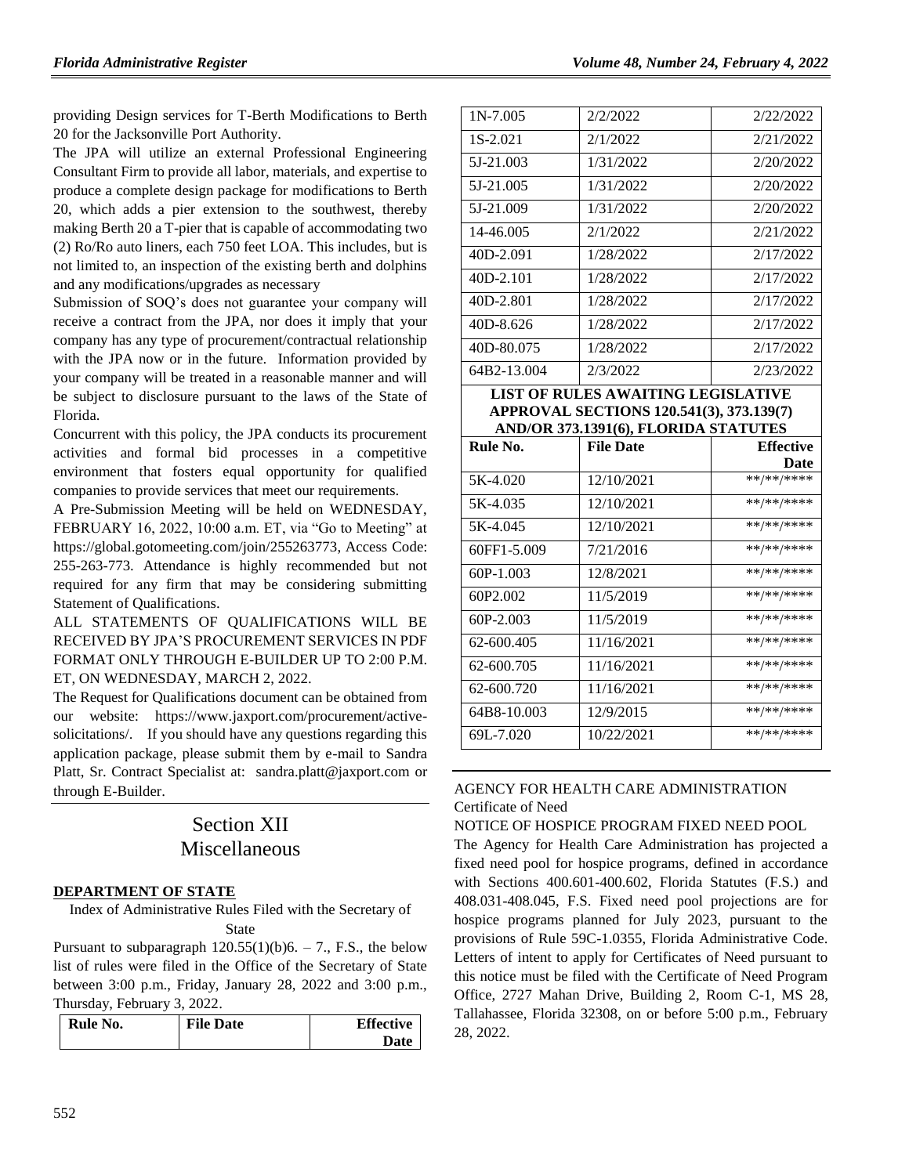providing Design services for T-Berth Modifications to Berth 20 for the Jacksonville Port Authority.

The JPA will utilize an external Professional Engineering Consultant Firm to provide all labor, materials, and expertise to produce a complete design package for modifications to Berth 20, which adds a pier extension to the southwest, thereby making Berth 20 a T-pier that is capable of accommodating two (2) Ro/Ro auto liners, each 750 feet LOA. This includes, but is not limited to, an inspection of the existing berth and dolphins and any modifications/upgrades as necessary

Submission of SOQ's does not guarantee your company will receive a contract from the JPA, nor does it imply that your company has any type of procurement/contractual relationship with the JPA now or in the future. Information provided by your company will be treated in a reasonable manner and will be subject to disclosure pursuant to the laws of the State of Florida.

Concurrent with this policy, the JPA conducts its procurement activities and formal bid processes in a competitive environment that fosters equal opportunity for qualified companies to provide services that meet our requirements.

A Pre-Submission Meeting will be held on WEDNESDAY, FEBRUARY 16, 2022, 10:00 a.m. ET, via "Go to Meeting" at [https://global.gotomeeting.com/join/2](https://global.gotomeeting.com/join/)55263773, Access Code: 255-263-773. Attendance is highly recommended but not required for any firm that may be considering submitting Statement of Qualifications.

ALL STATEMENTS OF QUALIFICATIONS WILL BE RECEIVED BY JPA'S PROCUREMENT SERVICES IN PDF FORMAT ONLY THROUGH E-BUILDER UP TO 2:00 P.M. ET, ON WEDNESDAY, MARCH 2, 2022.

The Request for Qualifications document can be obtained from our website: [https://www.jaxport.com/procurement/active](https://www.jaxport.com/procurement/active-solicitations/)[solicitations/.](https://www.jaxport.com/procurement/active-solicitations/) If you should have any questions regarding this application package, please submit them by e-mail to Sandra Platt, Sr. Contract Specialist at: [sandra.platt@jaxport.com](mailto:sandra.platt@jaxport.com) or through E-Builder.

# Section XII Miscellaneous

#### **[DEPARTMENT OF STATE](https://www.flrules.org/gateway/department.asp?id=1)**

Index of Administrative Rules Filed with the Secretary of State

Pursuant to subparagraph  $120.55(1)(b)6. - 7$ ., F.S., the below list of rules were filed in the Office of the Secretary of State between 3:00 p.m., Friday, January 28, 2022 and 3:00 p.m., Thursday, February 3, 2022.

| Rule No. | <b>File Date</b> | <b>Effective</b> |
|----------|------------------|------------------|
|          |                  | Date             |

| $1N-7.005$  | 2/2/2022  | 2/22/2022 |
|-------------|-----------|-----------|
| 1S-2.021    | 2/1/2022  | 2/21/2022 |
| 5J-21.003   | 1/31/2022 | 2/20/2022 |
| 5J-21.005   | 1/31/2022 | 2/20/2022 |
| 5J-21.009   | 1/31/2022 | 2/20/2022 |
| 14-46.005   | 2/1/2022  | 2/21/2022 |
| 40D-2.091   | 1/28/2022 | 2/17/2022 |
| $40D-2.101$ | 1/28/2022 | 2/17/2022 |
| 40D-2.801   | 1/28/2022 | 2/17/2022 |
| 40D-8.626   | 1/28/2022 | 2/17/2022 |
| 40D-80.075  | 1/28/2022 | 2/17/2022 |
| 64B2-13.004 | 2/3/2022  | 2/23/2022 |
|             |           |           |

**LIST OF RULES AWAITING LEGISLATIVE APPROVAL SECTIONS 120.541(3), 373.139(7) AND/OR 373.1391(6), FLORIDA STATUTES**

| Rule No.    | <b>File Date</b> | <b>Effective</b> |
|-------------|------------------|------------------|
|             |                  | Date             |
| 5K-4.020    | 12/10/2021       | **/**/****       |
| 5K-4.035    | 12/10/2021       | **/**/****       |
| 5K-4.045    | 12/10/2021       | **/**/****       |
| 60FF1-5.009 | 7/21/2016        | **/**/****       |
| 60P-1.003   | 12/8/2021        | **/**/****       |
| 60P2.002    | 11/5/2019        | **/**/****       |
| $60P-2.003$ | 11/5/2019        | **/**/****       |
| 62-600.405  | 11/16/2021       | **/**/****       |
| 62-600.705  | 11/16/2021       | **/**/****       |
| 62-600.720  | 11/16/2021       | **/**/****       |
| 64B8-10.003 | 12/9/2015        | **/**/****       |
| 69L-7.020   | 10/22/2021       | **/**/****       |

#### [AGENCY FOR HEALTH CARE ADMINISTRATION](https://www.flrules.org/gateway/department.asp?id=59) [Certificate of Need](https://www.flrules.org/gateway/organization.asp?id=188)

## NOTICE OF HOSPICE PROGRAM FIXED NEED POOL

The Agency for Health Care Administration has projected a fixed need pool for hospice programs, defined in accordance with Sections 400.601-400.602, Florida Statutes (F.S.) and 408.031-408.045, F.S. Fixed need pool projections are for hospice programs planned for July 2023, pursuant to the provisions of Rule 59C-1.0355, Florida Administrative Code. Letters of intent to apply for Certificates of Need pursuant to this notice must be filed with the Certificate of Need Program Office, 2727 Mahan Drive, Building 2, Room C-1, MS 28, Tallahassee, Florida 32308, on or before 5:00 p.m., February 28, 2022.